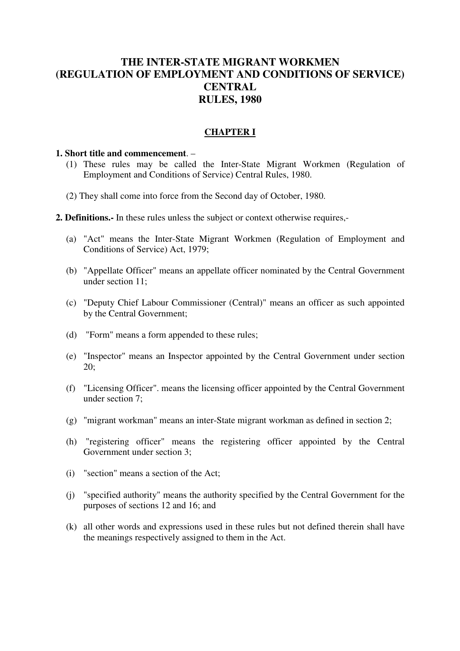# **THE INTER-STATE MIGRANT WORKMEN (REGULATION OF EMPLOYMENT AND CONDITIONS OF SERVICE) CENTRAL RULES, 1980**

## **CHAPTER I**

#### **1. Short title and commencement**. –

- (1) These rules may be called the Inter-State Migrant Workmen (Regulation of Employment and Conditions of Service) Central Rules, 1980.
- (2) They shall come into force from the Second day of October, 1980.
- **2. Definitions.-** In these rules unless the subject or context otherwise requires,-
	- (a) "Act" means the Inter-State Migrant Workmen (Regulation of Employment and Conditions of Service) Act, 1979;
	- (b) "Appellate Officer" means an appellate officer nominated by the Central Government under section 11;
	- (c) "Deputy Chief Labour Commissioner (Central)" means an officer as such appointed by the Central Government;
	- (d) "Form" means a form appended to these rules;
	- (e) "Inspector" means an Inspector appointed by the Central Government under section 20;
	- (f) "Licensing Officer". means the licensing officer appointed by the Central Government under section 7;
	- (g) "migrant workman" means an inter-State migrant workman as defined in section 2;
	- (h) "registering officer" means the registering officer appointed by the Central Government under section 3;
	- (i) "section" means a section of the Act;
	- (j) "specified authority" means the authority specified by the Central Government for the purposes of sections 12 and 16; and
	- (k) all other words and expressions used in these rules but not defined therein shall have the meanings respectively assigned to them in the Act.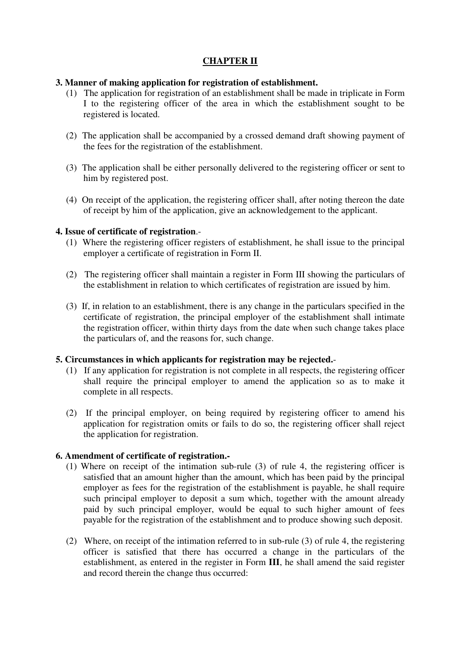## **CHAPTER II**

### **3. Manner of making application for registration of establishment.**

- (1) The application for registration of an establishment shall be made in triplicate in Form I to the registering officer of the area in which the establishment sought to be registered is located.
- (2) The application shall be accompanied by a crossed demand draft showing payment of the fees for the registration of the establishment.
- (3) The application shall be either personally delivered to the registering officer or sent to him by registered post.
- (4) On receipt of the application, the registering officer shall, after noting thereon the date of receipt by him of the application, give an acknowledgement to the applicant.

### **4. Issue of certificate of registration**.-

- (1) Where the registering officer registers of establishment, he shall issue to the principal employer a certificate of registration in Form II.
- (2) The registering officer shall maintain a register in Form III showing the particulars of the establishment in relation to which certificates of registration are issued by him.
- (3) If, in relation to an establishment, there is any change in the particulars specified in the certificate of registration, the principal employer of the establishment shall intimate the registration officer, within thirty days from the date when such change takes place the particulars of, and the reasons for, such change.

### **5. Circumstances in which applicants for registration may be rejected.**-

- (1) If any application for registration is not complete in all respects, the registering officer shall require the principal employer to amend the application so as to make it complete in all respects.
- (2) If the principal employer, on being required by registering officer to amend his application for registration omits or fails to do so, the registering officer shall reject the application for registration.

## **6. Amendment of certificate of registration.-**

- (1) Where on receipt of the intimation sub-rule (3) of rule 4, the registering officer is satisfied that an amount higher than the amount, which has been paid by the principal employer as fees for the registration of the establishment is payable, he shall require such principal employer to deposit a sum which, together with the amount already paid by such principal employer, would be equal to such higher amount of fees payable for the registration of the establishment and to produce showing such deposit.
- (2) Where, on receipt of the intimation referred to in sub-rule (3) of rule 4, the registering officer is satisfied that there has occurred a change in the particulars of the establishment, as entered in the register in Form **III**, he shall amend the said register and record therein the change thus occurred: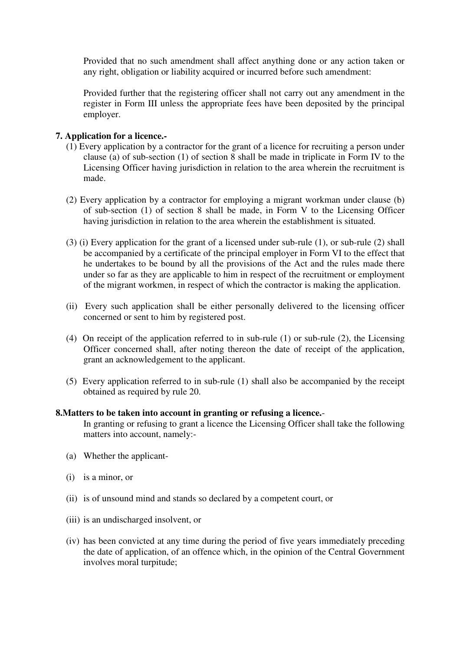Provided that no such amendment shall affect anything done or any action taken or any right, obligation or liability acquired or incurred before such amendment:

 Provided further that the registering officer shall not carry out any amendment in the register in Form III unless the appropriate fees have been deposited by the principal employer.

## **7. Application for a licence.-**

- (1) Every application by a contractor for the grant of a licence for recruiting a person under clause (a) of sub-section (1) of section 8 shall be made in triplicate in Form IV to the Licensing Officer having jurisdiction in relation to the area wherein the recruitment is made.
- (2) Every application by a contractor for employing a migrant workman under clause (b) of sub-section (1) of section 8 shall be made, in Form V to the Licensing Officer having jurisdiction in relation to the area wherein the establishment is situated.
- (3) (i) Every application for the grant of a licensed under sub-rule (1), or sub-rule (2) shall be accompanied by a certificate of the principal employer in Form VI to the effect that he undertakes to be bound by all the provisions of the Act and the rules made there under so far as they are applicable to him in respect of the recruitment or employment of the migrant workmen, in respect of which the contractor is making the application.
- (ii) Every such application shall be either personally delivered to the licensing officer concerned or sent to him by registered post.
- (4) On receipt of the application referred to in sub-rule (1) or sub-rule (2), the Licensing Officer concerned shall, after noting thereon the date of receipt of the application, grant an acknowledgement to the applicant.
- (5) Every application referred to in sub-rule (1) shall also be accompanied by the receipt obtained as required by rule 20.

## **8.Matters to be taken into account in granting or refusing a licence.**-

In granting or refusing to grant a licence the Licensing Officer shall take the following matters into account, namely:-

- (a) Whether the applicant-
- (i) is a minor, or
- (ii) is of unsound mind and stands so declared by a competent court, or
- (iii) is an undischarged insolvent, or
- (iv) has been convicted at any time during the period of five years immediately preceding the date of application, of an offence which, in the opinion of the Central Government involves moral turpitude;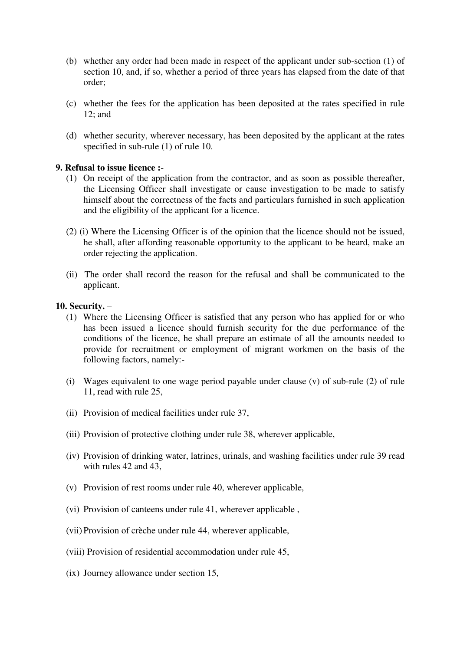- (b) whether any order had been made in respect of the applicant under sub-section (1) of section 10, and, if so, whether a period of three years has elapsed from the date of that order;
- (c) whether the fees for the application has been deposited at the rates specified in rule 12; and
- (d) whether security, wherever necessary, has been deposited by the applicant at the rates specified in sub-rule (1) of rule 10.

### **9. Refusal to issue licence :**-

- (1) On receipt of the application from the contractor, and as soon as possible thereafter, the Licensing Officer shall investigate or cause investigation to be made to satisfy himself about the correctness of the facts and particulars furnished in such application and the eligibility of the applicant for a licence.
- (2) (i) Where the Licensing Officer is of the opinion that the licence should not be issued, he shall, after affording reasonable opportunity to the applicant to be heard, make an order rejecting the application.
- (ii) The order shall record the reason for the refusal and shall be communicated to the applicant.

#### **10. Security.** –

- (1) Where the Licensing Officer is satisfied that any person who has applied for or who has been issued a licence should furnish security for the due performance of the conditions of the licence, he shall prepare an estimate of all the amounts needed to provide for recruitment or employment of migrant workmen on the basis of the following factors, namely:-
- (i) Wages equivalent to one wage period payable under clause (v) of sub-rule (2) of rule 11, read with rule 25,
- (ii) Provision of medical facilities under rule 37,
- (iii) Provision of protective clothing under rule 38, wherever applicable,
- (iv) Provision of drinking water, latrines, urinals, and washing facilities under rule 39 read with rules 42 and 43,
- (v) Provision of rest rooms under rule 40, wherever applicable,
- (vi) Provision of canteens under rule 41, wherever applicable ,
- (vii) Provision of crèche under rule 44, wherever applicable,
- (viii) Provision of residential accommodation under rule 45,
- (ix) Journey allowance under section 15,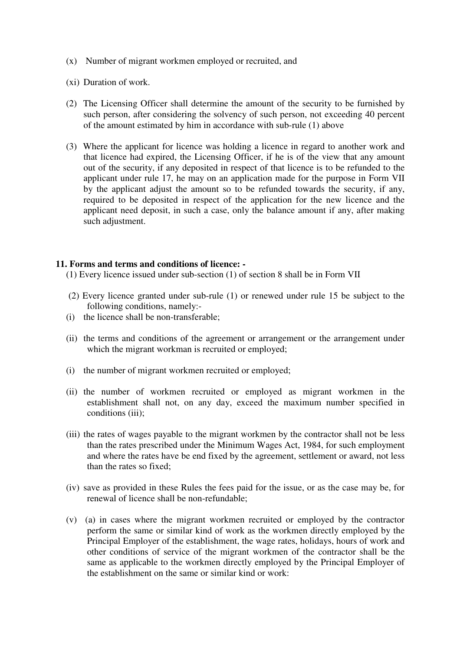- (x) Number of migrant workmen employed or recruited, and
- (xi) Duration of work.
- (2) The Licensing Officer shall determine the amount of the security to be furnished by such person, after considering the solvency of such person, not exceeding 40 percent of the amount estimated by him in accordance with sub-rule (1) above
- (3) Where the applicant for licence was holding a licence in regard to another work and that licence had expired, the Licensing Officer, if he is of the view that any amount out of the security, if any deposited in respect of that licence is to be refunded to the applicant under rule 17, he may on an application made for the purpose in Form VII by the applicant adjust the amount so to be refunded towards the security, if any, required to be deposited in respect of the application for the new licence and the applicant need deposit, in such a case, only the balance amount if any, after making such adjustment.

#### **11. Forms and terms and conditions of licence: -**

- (1) Every licence issued under sub-section (1) of section 8 shall be in Form VII
- (2) Every licence granted under sub-rule (1) or renewed under rule 15 be subject to the following conditions, namely:-
- (i) the licence shall be non-transferable;
- (ii) the terms and conditions of the agreement or arrangement or the arrangement under which the migrant workman is recruited or employed;
- (i) the number of migrant workmen recruited or employed;
- (ii) the number of workmen recruited or employed as migrant workmen in the establishment shall not, on any day, exceed the maximum number specified in conditions (iii):
- (iii) the rates of wages payable to the migrant workmen by the contractor shall not be less than the rates prescribed under the Minimum Wages Act, 1984, for such employment and where the rates have be end fixed by the agreement, settlement or award, not less than the rates so fixed;
- (iv) save as provided in these Rules the fees paid for the issue, or as the case may be, for renewal of licence shall be non-refundable;
- (v) (a) in cases where the migrant workmen recruited or employed by the contractor perform the same or similar kind of work as the workmen directly employed by the Principal Employer of the establishment, the wage rates, holidays, hours of work and other conditions of service of the migrant workmen of the contractor shall be the same as applicable to the workmen directly employed by the Principal Employer of the establishment on the same or similar kind or work: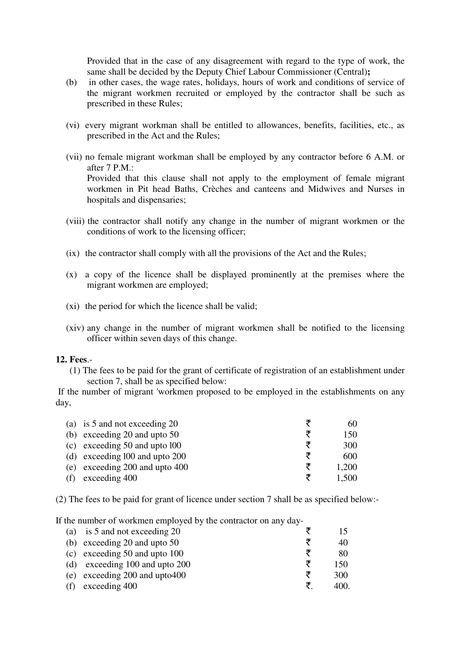Provided that in the case of any disagreement with regard to the type of work, the same shall be decided by the Deputy Chief Labour Commissioner (Central)**;**

- (b) in other cases, the wage rates, holidays, hours of work and conditions of service of the migrant workmen recruited or employed by the contractor shall be such as prescribed in these Rules;
- (vi) every migrant workman shall be entitled to allowances, benefits, facilities, etc., as prescribed in the Act and the Rules;
- (vii) no female migrant workman shall be employed by any contractor before 6 A.M. or after 7 P.M.: Provided that this clause shall not apply to the employment of female migrant workmen in Pit head Baths, Crèches and canteens and Midwives and Nurses in hospitals and dispensaries:
- (viii) the contractor shall notify any change in the number of migrant workmen or the conditions of work to the licensing officer;
- (ix) the contractor shall comply with all the provisions of the Act and the Rules;
- (x) a copy of the licence shall be displayed prominently at the premises where the migrant workmen are employed;
- (xi) the period for which the licence shall be valid;
- (xiv) any change in the number of migrant workmen shall be notified to the licensing officer within seven days of this change.

#### **12. Fees**.-

(1) The fees to be paid for the grant of certificate of registration of an establishment under section 7, shall be as specified below:

 If the number of migrant 'workmen proposed to be employed in the establishments on any day,

| (a) is 5 and not exceeding 20      |   | 6()   |
|------------------------------------|---|-------|
| (b) exceeding 20 and upto $50$     |   | 150   |
| (c) exceeding $50$ and upto $100$  |   | 300   |
| (d) exceeding $100$ and upto $200$ | ₹ | 600   |
| (e) exceeding 200 and upto 400     |   | 1,200 |
| (f) exceeding $400$                |   | 1.500 |

(2) The fees to be paid for grant of licence under section 7 shall be as specified below:-

If the number of workmen employed by the contractor on any day-

|     | (a) is 5 and not exceeding 20      | 15   |
|-----|------------------------------------|------|
|     | (b) exceeding 20 and upto $50$     | 40   |
|     | (c) exceeding $50$ and upto $100$  | 80   |
|     | (d) exceeding $100$ and upto $200$ | 150  |
|     | (e) exceeding 200 and upto 400     | 300  |
| (f) | exceeding 400                      | 400. |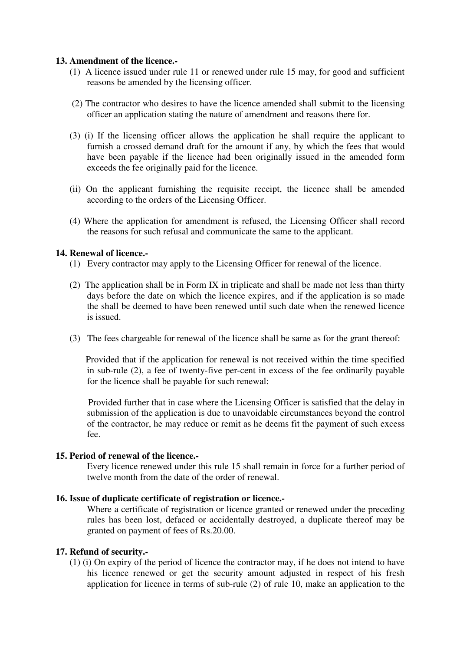#### **13. Amendment of the licence.-**

- (1) A licence issued under rule 11 or renewed under rule 15 may, for good and sufficient reasons be amended by the licensing officer.
- (2) The contractor who desires to have the licence amended shall submit to the licensing officer an application stating the nature of amendment and reasons there for.
- (3) (i) If the licensing officer allows the application he shall require the applicant to furnish a crossed demand draft for the amount if any, by which the fees that would have been payable if the licence had been originally issued in the amended form exceeds the fee originally paid for the licence.
- (ii) On the applicant furnishing the requisite receipt, the licence shall be amended according to the orders of the Licensing Officer.
- (4) Where the application for amendment is refused, the Licensing Officer shall record the reasons for such refusal and communicate the same to the applicant.

#### **14. Renewal of licence.-**

- (1) Every contractor may apply to the Licensing Officer for renewal of the licence.
- (2) The application shall be in Form IX in triplicate and shall be made not less than thirty days before the date on which the licence expires, and if the application is so made the shall be deemed to have been renewed until such date when the renewed licence is issued.
- (3) The fees chargeable for renewal of the licence shall be same as for the grant thereof:

 Provided that if the application for renewal is not received within the time specified in sub-rule (2), a fee of twenty-five per-cent in excess of the fee ordinarily payable for the licence shall be payable for such renewal:

 Provided further that in case where the Licensing Officer is satisfied that the delay in submission of the application is due to unavoidable circumstances beyond the control of the contractor, he may reduce or remit as he deems fit the payment of such excess fee.

#### **15. Period of renewal of the licence.-**

Every licence renewed under this rule 15 shall remain in force for a further period of twelve month from the date of the order of renewal.

#### **16. Issue of duplicate certificate of registration or licence.-**

Where a certificate of registration or licence granted or renewed under the preceding rules has been lost, defaced or accidentally destroyed, a duplicate thereof may be granted on payment of fees of Rs.20.00.

#### **17. Refund of security.-**

(1) (i) On expiry of the period of licence the contractor may, if he does not intend to have his licence renewed or get the security amount adjusted in respect of his fresh application for licence in terms of sub-rule (2) of rule 10, make an application to the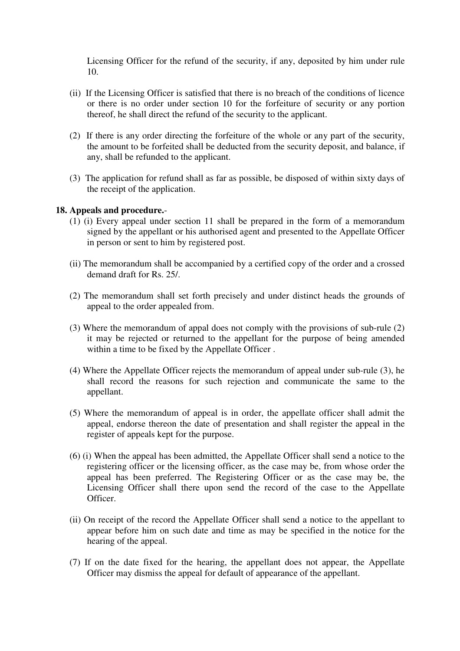Licensing Officer for the refund of the security, if any, deposited by him under rule 10.

- (ii) If the Licensing Officer is satisfied that there is no breach of the conditions of licence or there is no order under section 10 for the forfeiture of security or any portion thereof, he shall direct the refund of the security to the applicant.
- (2) If there is any order directing the forfeiture of the whole or any part of the security, the amount to be forfeited shall be deducted from the security deposit, and balance, if any, shall be refunded to the applicant.
- (3) The application for refund shall as far as possible, be disposed of within sixty days of the receipt of the application.

## **18. Appeals and procedure.**-

- (1) (i) Every appeal under section 11 shall be prepared in the form of a memorandum signed by the appellant or his authorised agent and presented to the Appellate Officer in person or sent to him by registered post.
- (ii) The memorandum shall be accompanied by a certified copy of the order and a crossed demand draft for Rs. 25/.
- (2) The memorandum shall set forth precisely and under distinct heads the grounds of appeal to the order appealed from.
- (3) Where the memorandum of appal does not comply with the provisions of sub-rule (2) it may be rejected or returned to the appellant for the purpose of being amended within a time to be fixed by the Appellate Officer .
- (4) Where the Appellate Officer rejects the memorandum of appeal under sub-rule (3), he shall record the reasons for such rejection and communicate the same to the appellant.
- (5) Where the memorandum of appeal is in order, the appellate officer shall admit the appeal, endorse thereon the date of presentation and shall register the appeal in the register of appeals kept for the purpose.
- (6) (i) When the appeal has been admitted, the Appellate Officer shall send a notice to the registering officer or the licensing officer, as the case may be, from whose order the appeal has been preferred. The Registering Officer or as the case may be, the Licensing Officer shall there upon send the record of the case to the Appellate Officer.
- (ii) On receipt of the record the Appellate Officer shall send a notice to the appellant to appear before him on such date and time as may be specified in the notice for the hearing of the appeal.
- (7) If on the date fixed for the hearing, the appellant does not appear, the Appellate Officer may dismiss the appeal for default of appearance of the appellant.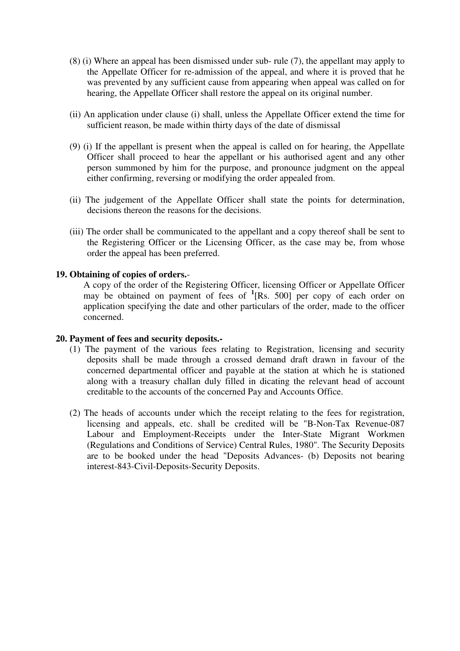- (8) (i) Where an appeal has been dismissed under sub- rule (7), the appellant may apply to the Appellate Officer for re-admission of the appeal, and where it is proved that he was prevented by any sufficient cause from appearing when appeal was called on for hearing, the Appellate Officer shall restore the appeal on its original number.
- (ii) An application under clause (i) shall, unless the Appellate Officer extend the time for sufficient reason, be made within thirty days of the date of dismissal
- (9) (i) If the appellant is present when the appeal is called on for hearing, the Appellate Officer shall proceed to hear the appellant or his authorised agent and any other person summoned by him for the purpose, and pronounce judgment on the appeal either confirming, reversing or modifying the order appealed from.
- (ii) The judgement of the Appellate Officer shall state the points for determination, decisions thereon the reasons for the decisions.
- (iii) The order shall be communicated to the appellant and a copy thereof shall be sent to the Registering Officer or the Licensing Officer, as the case may be, from whose order the appeal has been preferred.

### **19. Obtaining of copies of orders.**-

A copy of the order of the Registering Officer, licensing Officer or Appellate Officer may be obtained on payment of fees of **<sup>1</sup>** [Rs. 500] per copy of each order on application specifying the date and other particulars of the order, made to the officer concerned.

#### **20. Payment of fees and security deposits.-**

- (1) The payment of the various fees relating to Registration, licensing and security deposits shall be made through a crossed demand draft drawn in favour of the concerned departmental officer and payable at the station at which he is stationed along with a treasury challan duly filled in dicating the relevant head of account creditable to the accounts of the concerned Pay and Accounts Office.
- (2) The heads of accounts under which the receipt relating to the fees for registration, licensing and appeals, etc. shall be credited will be "B-Non-Tax Revenue-087 Labour and Employment-Receipts under the Inter-State Migrant Workmen (Regulations and Conditions of Service) Central Rules, 1980". The Security Deposits are to be booked under the head "Deposits Advances- (b) Deposits not bearing interest-843-Civil-Deposits-Security Deposits.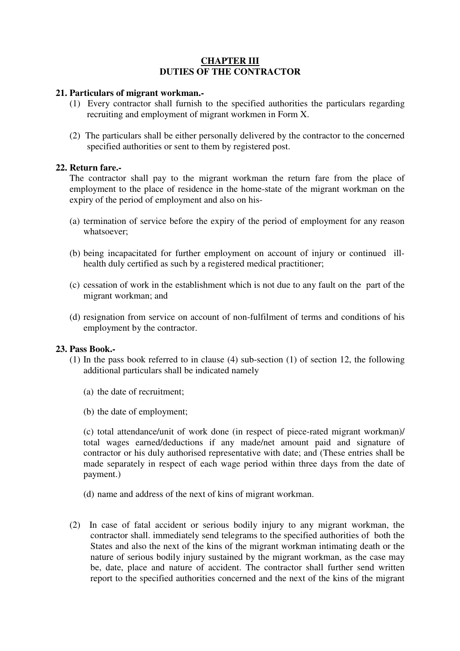## **CHAPTER III DUTIES OF THE CONTRACTOR**

#### **21. Particulars of migrant workman.-**

- (1) Every contractor shall furnish to the specified authorities the particulars regarding recruiting and employment of migrant workmen in Form X.
- (2) The particulars shall be either personally delivered by the contractor to the concerned specified authorities or sent to them by registered post.

#### **22. Return fare.-**

The contractor shall pay to the migrant workman the return fare from the place of employment to the place of residence in the home-state of the migrant workman on the expiry of the period of employment and also on his-

- (a) termination of service before the expiry of the period of employment for any reason whatsoever;
- (b) being incapacitated for further employment on account of injury or continued illhealth duly certified as such by a registered medical practitioner;
- (c) cessation of work in the establishment which is not due to any fault on the part of the migrant workman; and
- (d) resignation from service on account of non-fulfilment of terms and conditions of his employment by the contractor.

#### **23. Pass Book.-**

- (1) In the pass book referred to in clause (4) sub-section (1) of section 12, the following additional particulars shall be indicated namely
	- (a) the date of recruitment;
	- (b) the date of employment;

(c) total attendance/unit of work done (in respect of piece-rated migrant workman)/ total wages earned/deductions if any made/net amount paid and signature of contractor or his duly authorised representative with date; and (These entries shall be made separately in respect of each wage period within three days from the date of payment.)

- (d) name and address of the next of kins of migrant workman.
- (2) In case of fatal accident or serious bodily injury to any migrant workman, the contractor shall. immediately send telegrams to the specified authorities of both the States and also the next of the kins of the migrant workman intimating death or the nature of serious bodily injury sustained by the migrant workman, as the case may be, date, place and nature of accident. The contractor shall further send written report to the specified authorities concerned and the next of the kins of the migrant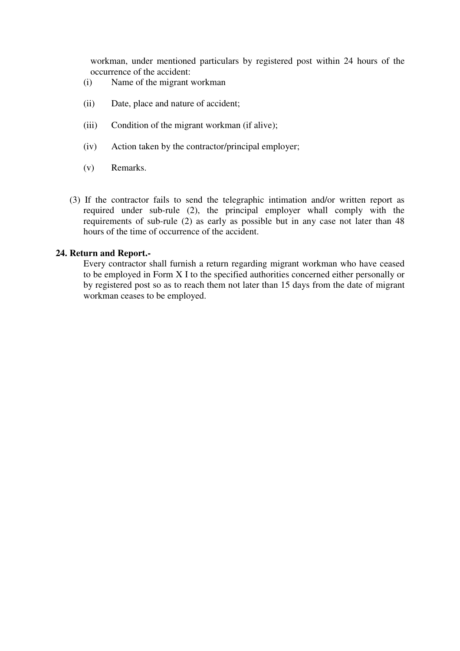workman, under mentioned particulars by registered post within 24 hours of the occurrence of the accident:

- (i) Name of the migrant workman
- (ii) Date, place and nature of accident;
- (iii) Condition of the migrant workman (if alive);
- (iv) Action taken by the contractor/principal employer;
- (v) Remarks.
- (3) If the contractor fails to send the telegraphic intimation and/or written report as required under sub-rule (2), the principal employer whall comply with the requirements of sub-rule (2) as early as possible but in any case not later than 48 hours of the time of occurrence of the accident.

#### **24. Return and Report.-**

Every contractor shall furnish a return regarding migrant workman who have ceased to be employed in Form X I to the specified authorities concerned either personally or by registered post so as to reach them not later than 15 days from the date of migrant workman ceases to be employed.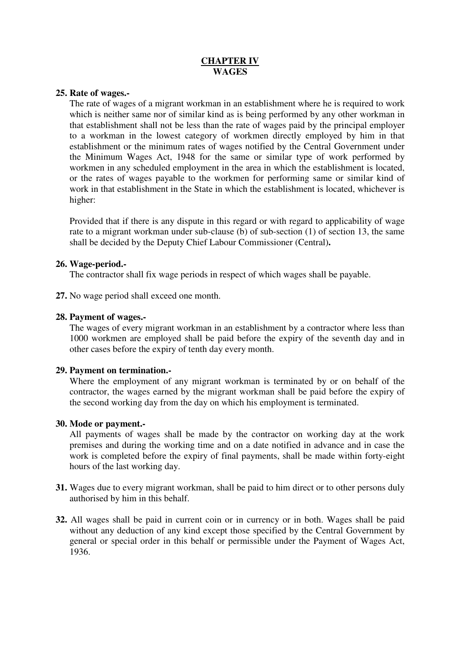## **CHAPTER IV WAGES**

#### **25. Rate of wages.-**

The rate of wages of a migrant workman in an establishment where he is required to work which is neither same nor of similar kind as is being performed by any other workman in that establishment shall not be less than the rate of wages paid by the principal employer to a workman in the lowest category of workmen directly employed by him in that establishment or the minimum rates of wages notified by the Central Government under the Minimum Wages Act, 1948 for the same or similar type of work performed by workmen in any scheduled employment in the area in which the establishment is located, or the rates of wages payable to the workmen for performing same or similar kind of work in that establishment in the State in which the establishment is located, whichever is higher:

Provided that if there is any dispute in this regard or with regard to applicability of wage rate to a migrant workman under sub-clause (b) of sub-section (1) of section 13, the same shall be decided by the Deputy Chief Labour Commissioner (Central)**.** 

#### **26. Wage-period.-**

The contractor shall fix wage periods in respect of which wages shall be payable.

**27.** No wage period shall exceed one month.

#### **28. Payment of wages.-**

The wages of every migrant workman in an establishment by a contractor where less than 1000 workmen are employed shall be paid before the expiry of the seventh day and in other cases before the expiry of tenth day every month.

### **29. Payment on termination.-**

Where the employment of any migrant workman is terminated by or on behalf of the contractor, the wages earned by the migrant workman shall be paid before the expiry of the second working day from the day on which his employment is terminated.

#### **30. Mode or payment.-**

All payments of wages shall be made by the contractor on working day at the work premises and during the working time and on a date notified in advance and in case the work is completed before the expiry of final payments, shall be made within forty-eight hours of the last working day.

- **31.** Wages due to every migrant workman, shall be paid to him direct or to other persons duly authorised by him in this behalf.
- **32.** All wages shall be paid in current coin or in currency or in both. Wages shall be paid without any deduction of any kind except those specified by the Central Government by general or special order in this behalf or permissible under the Payment of Wages Act, 1936.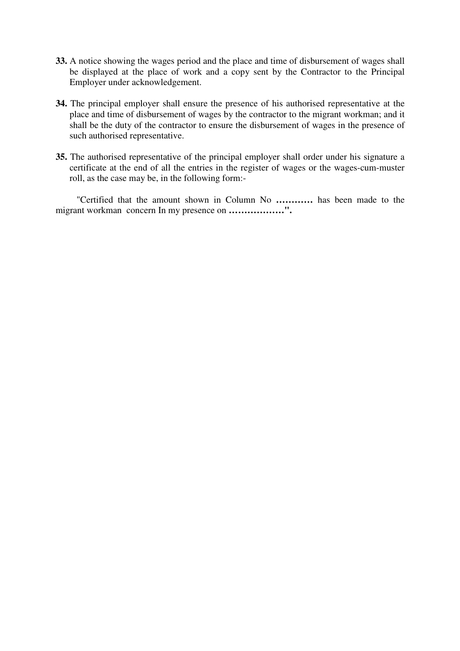- **33.** A notice showing the wages period and the place and time of disbursement of wages shall be displayed at the place of work and a copy sent by the Contractor to the Principal Employer under acknowledgement.
- **34.** The principal employer shall ensure the presence of his authorised representative at the place and time of disbursement of wages by the contractor to the migrant workman; and it shall be the duty of the contractor to ensure the disbursement of wages in the presence of such authorised representative.
- **35.** The authorised representative of the principal employer shall order under his signature a certificate at the end of all the entries in the register of wages or the wages-cum-muster roll, as the case may be, in the following form:-

 "Certified that the amount shown in Column No **…………** has been made to the migrant workman concern In my presence on **………………".**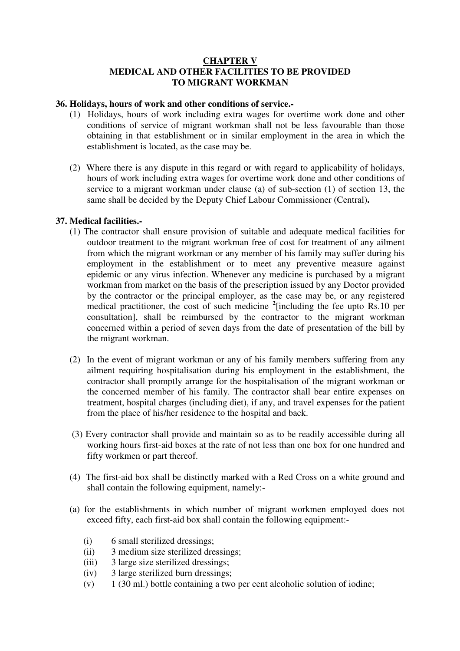## **CHAPTER V MEDICAL AND OTHER FACILITIES TO BE PROVIDED TO MIGRANT WORKMAN**

#### **36. Holidays, hours of work and other conditions of service.-**

- (1) Holidays, hours of work including extra wages for overtime work done and other conditions of service of migrant workman shall not be less favourable than those obtaining in that establishment or in similar employment in the area in which the establishment is located, as the case may be.
- (2) Where there is any dispute in this regard or with regard to applicability of holidays, hours of work including extra wages for overtime work done and other conditions of service to a migrant workman under clause (a) of sub-section (1) of section 13, the same shall be decided by the Deputy Chief Labour Commissioner (Central)**.**

#### **37. Medical facilities.-**

- (1) The contractor shall ensure provision of suitable and adequate medical facilities for outdoor treatment to the migrant workman free of cost for treatment of any ailment from which the migrant workman or any member of his family may suffer during his employment in the establishment or to meet any preventive measure against epidemic or any virus infection. Whenever any medicine is purchased by a migrant workman from market on the basis of the prescription issued by any Doctor provided by the contractor or the principal employer, as the case may be, or any registered medical practitioner, the cost of such medicine **<sup>2</sup>** [including the fee upto Rs.10 per consultation], shall be reimbursed by the contractor to the migrant workman concerned within a period of seven days from the date of presentation of the bill by the migrant workman.
- (2) In the event of migrant workman or any of his family members suffering from any ailment requiring hospitalisation during his employment in the establishment, the contractor shall promptly arrange for the hospitalisation of the migrant workman or the concerned member of his family. The contractor shall bear entire expenses on treatment, hospital charges (including diet), if any, and travel expenses for the patient from the place of his/her residence to the hospital and back.
- (3) Every contractor shall provide and maintain so as to be readily accessible during all working hours first-aid boxes at the rate of not less than one box for one hundred and fifty workmen or part thereof.
- (4) The first-aid box shall be distinctly marked with a Red Cross on a white ground and shall contain the following equipment, namely:-
- (a) for the establishments in which number of migrant workmen employed does not exceed fifty, each first-aid box shall contain the following equipment:-
	- (i) 6 small sterilized dressings;
	- (ii) 3 medium size sterilized dressings;
	- (iii) 3 large size sterilized dressings;
	- (iv) 3 large sterilized burn dressings;
	- $(v)$  1 (30 ml.) bottle containing a two per cent alcoholic solution of iodine;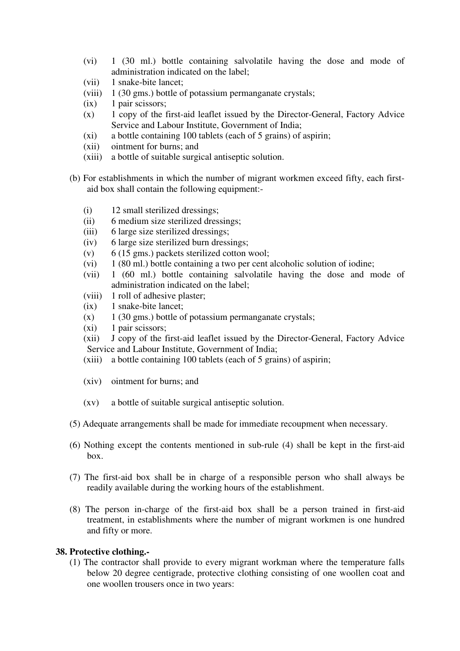- (vi) 1 (30 ml.) bottle containing salvolatile having the dose and mode of administration indicated on the label;
- (vii) 1 snake-bite lancet;
- (viii) 1 (30 gms.) bottle of potassium permanganate crystals;
- $(ix)$  1 pair scissors;
- (x) 1 copy of the first-aid leaflet issued by the Director-General, Factory Advice Service and Labour Institute, Government of India;
- (xi) a bottle containing 100 tablets (each of 5 grains) of aspirin;
- (xii) ointment for burns; and
- (xiii) a bottle of suitable surgical antiseptic solution.
- (b) For establishments in which the number of migrant workmen exceed fifty, each firstaid box shall contain the following equipment:-
	- (i) 12 small sterilized dressings;
	- (ii) 6 medium size sterilized dressings;
	- (iii) 6 large size sterilized dressings;
	- (iv) 6 large size sterilized burn dressings;
	- (v)  $\qquad$  6 (15 gms.) packets sterilized cotton wool;
	- (vi) 1 (80 ml.) bottle containing a two per cent alcoholic solution of iodine;
	- (vii) 1 (60 ml.) bottle containing salvolatile having the dose and mode of administration indicated on the label;
	- (viii) 1 roll of adhesive plaster;
	- (ix) 1 snake-bite lancet;
	- $(x)$  1 (30 gms.) bottle of potassium permanganate crystals;
	- (xi) 1 pair scissors;
	- (xii) J copy of the first-aid leaflet issued by the Director-General, Factory Advice Service and Labour Institute, Government of India;
	- (xiii) a bottle containing 100 tablets (each of 5 grains) of aspirin;
	- (xiv) ointment for burns; and
	- (xv) a bottle of suitable surgical antiseptic solution.
- (5) Adequate arrangements shall be made for immediate recoupment when necessary.
- (6) Nothing except the contents mentioned in sub-rule (4) shall be kept in the first-aid box.
- (7) The first-aid box shall be in charge of a responsible person who shall always be readily available during the working hours of the establishment.
- (8) The person in-charge of the first-aid box shall be a person trained in first-aid treatment, in establishments where the number of migrant workmen is one hundred and fifty or more.

### **38. Protective clothing.-**

(1) The contractor shall provide to every migrant workman where the temperature falls below 20 degree centigrade, protective clothing consisting of one woollen coat and one woollen trousers once in two years: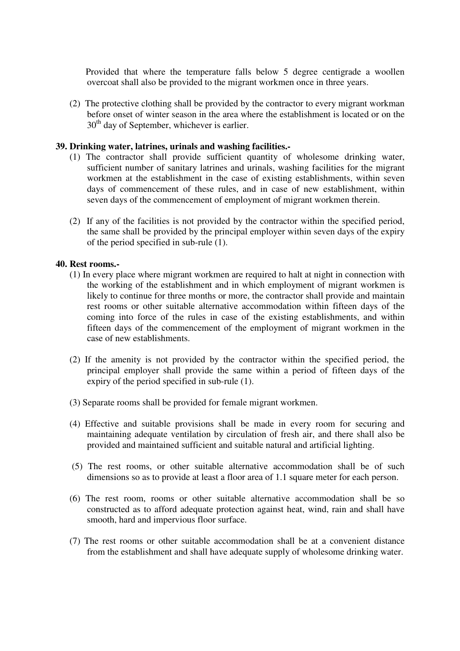Provided that where the temperature falls below 5 degree centigrade a woollen overcoat shall also be provided to the migrant workmen once in three years.

(2) The protective clothing shall be provided by the contractor to every migrant workman before onset of winter season in the area where the establishment is located or on the 30<sup>th</sup> day of September, whichever is earlier.

#### **39. Drinking water, latrines, urinals and washing facilities.-**

- (1) The contractor shall provide sufficient quantity of wholesome drinking water, sufficient number of sanitary latrines and urinals, washing facilities for the migrant workmen at the establishment in the case of existing establishments, within seven days of commencement of these rules, and in case of new establishment, within seven days of the commencement of employment of migrant workmen therein.
- (2) If any of the facilities is not provided by the contractor within the specified period, the same shall be provided by the principal employer within seven days of the expiry of the period specified in sub-rule (1).

#### **40. Rest rooms.-**

- (1) In every place where migrant workmen are required to halt at night in connection with the working of the establishment and in which employment of migrant workmen is likely to continue for three months or more, the contractor shall provide and maintain rest rooms or other suitable alternative accommodation within fifteen days of the coming into force of the rules in case of the existing establishments, and within fifteen days of the commencement of the employment of migrant workmen in the case of new establishments.
- (2) If the amenity is not provided by the contractor within the specified period, the principal employer shall provide the same within a period of fifteen days of the expiry of the period specified in sub-rule (1).
- (3) Separate rooms shall be provided for female migrant workmen.
- (4) Effective and suitable provisions shall be made in every room for securing and maintaining adequate ventilation by circulation of fresh air, and there shall also be provided and maintained sufficient and suitable natural and artificial lighting.
- (5) The rest rooms, or other suitable alternative accommodation shall be of such dimensions so as to provide at least a floor area of 1.1 square meter for each person.
- (6) The rest room, rooms or other suitable alternative accommodation shall be so constructed as to afford adequate protection against heat, wind, rain and shall have smooth, hard and impervious floor surface.
- (7) The rest rooms or other suitable accommodation shall be at a convenient distance from the establishment and shall have adequate supply of wholesome drinking water.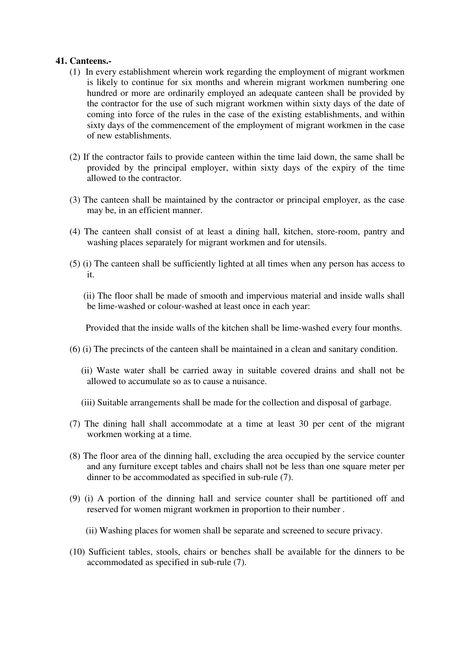#### **41. Canteens.-**

- (1) In every establishment wherein work regarding the employment of migrant workmen is likely to continue for six months and wherein migrant workmen numbering one hundred or more are ordinarily employed an adequate canteen shall be provided by the contractor for the use of such migrant workmen within sixty days of the date of coming into force of the rules in the case of the existing establishments, and within sixty days of the commencement of the employment of migrant workmen in the case of new establishments.
- (2) If the contractor fails to provide canteen within the time laid down, the same shall be provided by the principal employer, within sixty days of the expiry of the time allowed to the contractor.
- (3) The canteen shall be maintained by the contractor or principal employer, as the case may be, in an efficient manner.
- (4) The canteen shall consist of at least a dining hall, kitchen, store-room, pantry and washing places separately for migrant workmen and for utensils.
- (5) (i) The canteen shall be sufficiently lighted at all times when any person has access to it.
	- (ii) The floor shall be made of smooth and impervious material and inside walls shall be lime-washed or colour-washed at least once in each year:

Provided that the inside walls of the kitchen shall be lime-washed every four months.

- (6) (i) The precincts of the canteen shall be maintained in a clean and sanitary condition.
	- (ii) Waste water shall be carried away in suitable covered drains and shall not be allowed to accumulate so as to cause a nuisance.
	- (iii) Suitable arrangements shall be made for the collection and disposal of garbage.
- (7) The dining hall shall accommodate at a time at least 30 per cent of the migrant workmen working at a time.
- (8) The floor area of the dinning hall, excluding the area occupied by the service counter and any furniture except tables and chairs shall not be less than one square meter per dinner to be accommodated as specified in sub-rule (7).
- (9) (i) A portion of the dinning hall and service counter shall be partitioned off and reserved for women migrant workmen in proportion to their number .
	- (ii) Washing places for women shall be separate and screened to secure privacy.
- (10) Sufficient tables, stools, chairs or benches shall be available for the dinners to be accommodated as specified in sub-rule (7).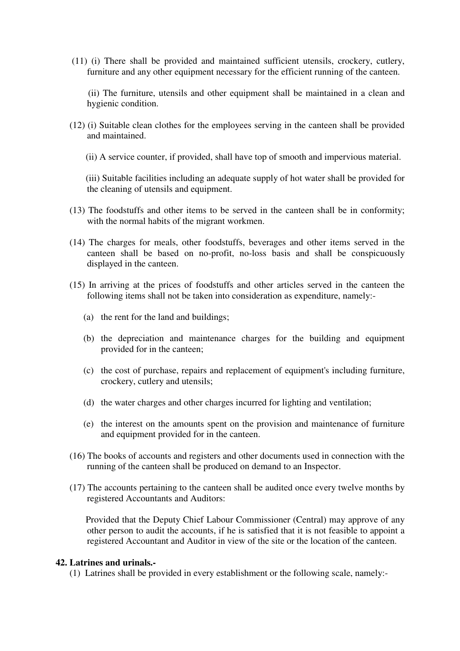(11) (i) There shall be provided and maintained sufficient utensils, crockery, cutlery, furniture and any other equipment necessary for the efficient running of the canteen.

 (ii) The furniture, utensils and other equipment shall be maintained in a clean and hygienic condition.

- (12) (i) Suitable clean clothes for the employees serving in the canteen shall be provided and maintained.
	- (ii) A service counter, if provided, shall have top of smooth and impervious material.

 (iii) Suitable facilities including an adequate supply of hot water shall be provided for the cleaning of utensils and equipment.

- (13) The foodstuffs and other items to be served in the canteen shall be in conformity; with the normal habits of the migrant workmen.
- (14) The charges for meals, other foodstuffs, beverages and other items served in the canteen shall be based on no-profit, no-loss basis and shall be conspicuously displayed in the canteen.
- (15) In arriving at the prices of foodstuffs and other articles served in the canteen the following items shall not be taken into consideration as expenditure, namely:-
	- (a) the rent for the land and buildings;
	- (b) the depreciation and maintenance charges for the building and equipment provided for in the canteen;
	- (c) the cost of purchase, repairs and replacement of equipment's including furniture, crockery, cutlery and utensils;
	- (d) the water charges and other charges incurred for lighting and ventilation;
	- (e) the interest on the amounts spent on the provision and maintenance of furniture and equipment provided for in the canteen.
- (16) The books of accounts and registers and other documents used in connection with the running of the canteen shall be produced on demand to an Inspector.
- (17) The accounts pertaining to the canteen shall be audited once every twelve months by registered Accountants and Auditors:

 Provided that the Deputy Chief Labour Commissioner (Central) may approve of any other person to audit the accounts, if he is satisfied that it is not feasible to appoint a registered Accountant and Auditor in view of the site or the location of the canteen.

### **42. Latrines and urinals.-**

(1) Latrines shall be provided in every establishment or the following scale, namely:-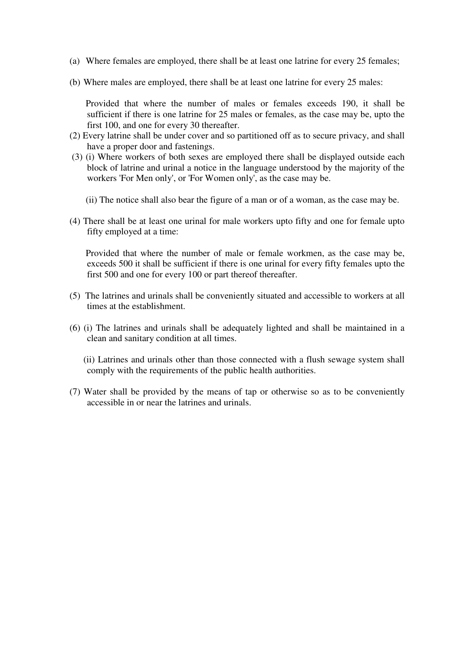- (a) Where females are employed, there shall be at least one latrine for every 25 females;
- (b) Where males are employed, there shall be at least one latrine for every 25 males:

 Provided that where the number of males or females exceeds 190, it shall be sufficient if there is one latrine for 25 males or females, as the case may be, upto the first 100, and one for every 30 thereafter.

- (2) Every latrine shall be under cover and so partitioned off as to secure privacy, and shall have a proper door and fastenings.
- (3) (i) Where workers of both sexes are employed there shall be displayed outside each block of latrine and urinal a notice in the language understood by the majority of the workers 'For Men only', or 'For Women only', as the case may be.
	- (ii) The notice shall also bear the figure of a man or of a woman, as the case may be.
- (4) There shall be at least one urinal for male workers upto fifty and one for female upto fifty employed at a time:

 Provided that where the number of male or female workmen, as the case may be, exceeds 500 it shall be sufficient if there is one urinal for every fifty females upto the first 500 and one for every 100 or part thereof thereafter.

- (5) The latrines and urinals shall be conveniently situated and accessible to workers at all times at the establishment.
- (6) (i) The latrines and urinals shall be adequately lighted and shall be maintained in a clean and sanitary condition at all times.
	- (ii) Latrines and urinals other than those connected with a flush sewage system shall comply with the requirements of the public health authorities.
- (7) Water shall be provided by the means of tap or otherwise so as to be conveniently accessible in or near the latrines and urinals.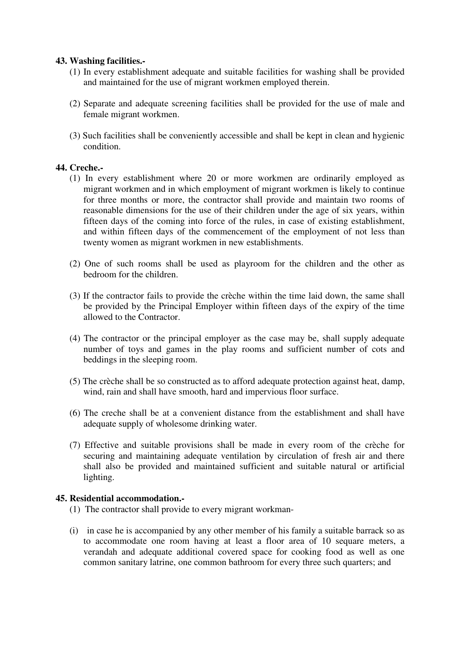## **43. Washing facilities.-**

- (1) In every establishment adequate and suitable facilities for washing shall be provided and maintained for the use of migrant workmen employed therein.
- (2) Separate and adequate screening facilities shall be provided for the use of male and female migrant workmen.
- (3) Such facilities shall be conveniently accessible and shall be kept in clean and hygienic condition.

## **44. Creche.-**

- (1) In every establishment where 20 or more workmen are ordinarily employed as migrant workmen and in which employment of migrant workmen is likely to continue for three months or more, the contractor shall provide and maintain two rooms of reasonable dimensions for the use of their children under the age of six years, within fifteen days of the coming into force of the rules, in case of existing establishment, and within fifteen days of the commencement of the employment of not less than twenty women as migrant workmen in new establishments.
- (2) One of such rooms shall be used as playroom for the children and the other as bedroom for the children.
- (3) If the contractor fails to provide the crèche within the time laid down, the same shall be provided by the Principal Employer within fifteen days of the expiry of the time allowed to the Contractor.
- (4) The contractor or the principal employer as the case may be, shall supply adequate number of toys and games in the play rooms and sufficient number of cots and beddings in the sleeping room.
- (5) The crèche shall be so constructed as to afford adequate protection against heat, damp, wind, rain and shall have smooth, hard and impervious floor surface.
- (6) The creche shall be at a convenient distance from the establishment and shall have adequate supply of wholesome drinking water.
- (7) Effective and suitable provisions shall be made in every room of the crèche for securing and maintaining adequate ventilation by circulation of fresh air and there shall also be provided and maintained sufficient and suitable natural or artificial lighting.

### **45. Residential accommodation.-**

- (1) The contractor shall provide to every migrant workman-
- (i) in case he is accompanied by any other member of his family a suitable barrack so as to accommodate one room having at least a floor area of 10 sequare meters, a verandah and adequate additional covered space for cooking food as well as one common sanitary latrine, one common bathroom for every three such quarters; and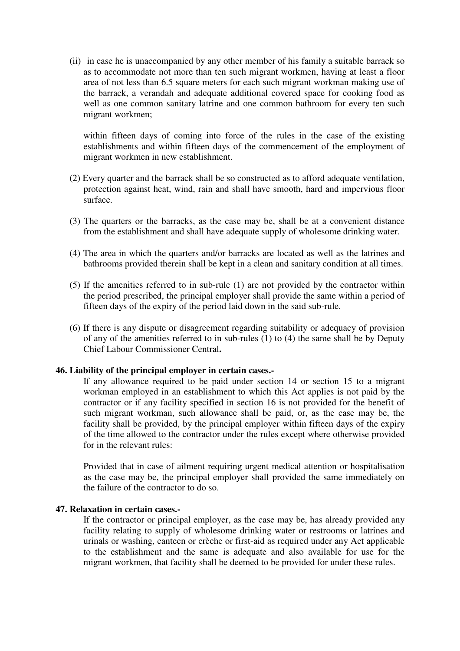(ii) in case he is unaccompanied by any other member of his family a suitable barrack so as to accommodate not more than ten such migrant workmen, having at least a floor area of not less than 6.5 square meters for each such migrant workman making use of the barrack, a verandah and adequate additional covered space for cooking food as well as one common sanitary latrine and one common bathroom for every ten such migrant workmen;

within fifteen days of coming into force of the rules in the case of the existing establishments and within fifteen days of the commencement of the employment of migrant workmen in new establishment.

- (2) Every quarter and the barrack shall be so constructed as to afford adequate ventilation, protection against heat, wind, rain and shall have smooth, hard and impervious floor surface.
- (3) The quarters or the barracks, as the case may be, shall be at a convenient distance from the establishment and shall have adequate supply of wholesome drinking water.
- (4) The area in which the quarters and/or barracks are located as well as the latrines and bathrooms provided therein shall be kept in a clean and sanitary condition at all times.
- (5) If the amenities referred to in sub-rule (1) are not provided by the contractor within the period prescribed, the principal employer shall provide the same within a period of fifteen days of the expiry of the period laid down in the said sub-rule.
- (6) If there is any dispute or disagreement regarding suitability or adequacy of provision of any of the amenities referred to in sub-rules (1) to (4) the same shall be by Deputy Chief Labour Commissioner Central**.**

#### **46. Liability of the principal employer in certain cases.-**

If any allowance required to be paid under section 14 or section 15 to a migrant workman employed in an establishment to which this Act applies is not paid by the contractor or if any facility specified in section 16 is not provided for the benefit of such migrant workman, such allowance shall be paid, or, as the case may be, the facility shall be provided, by the principal employer within fifteen days of the expiry of the time allowed to the contractor under the rules except where otherwise provided for in the relevant rules:

Provided that in case of ailment requiring urgent medical attention or hospitalisation as the case may be, the principal employer shall provided the same immediately on the failure of the contractor to do so.

#### **47. Relaxation in certain cases.-**

If the contractor or principal employer, as the case may be, has already provided any facility relating to supply of wholesome drinking water or restrooms or latrines and urinals or washing, canteen or crèche or first-aid as required under any Act applicable to the establishment and the same is adequate and also available for use for the migrant workmen, that facility shall be deemed to be provided for under these rules.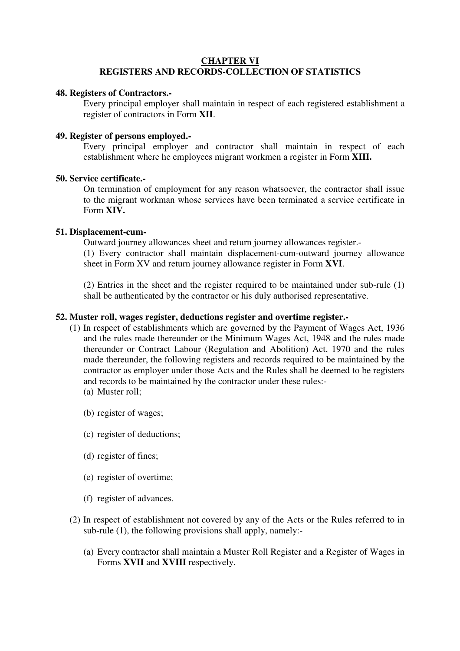## **CHAPTER VI REGISTERS AND RECORDS-COLLECTION OF STATISTICS**

#### **48. Registers of Contractors.-**

Every principal employer shall maintain in respect of each registered establishment a register of contractors in Form **XII**.

#### **49. Register of persons employed.-**

Every principal employer and contractor shall maintain in respect of each establishment where he employees migrant workmen a register in Form **XIII.** 

#### **50. Service certificate.-**

On termination of employment for any reason whatsoever, the contractor shall issue to the migrant workman whose services have been terminated a service certificate in Form **XIV.** 

#### **51. Displacement-cum-**

Outward journey allowances sheet and return journey allowances register.-

(1) Every contractor shall maintain displacement-cum-outward journey allowance sheet in Form XV and return journey allowance register in Form **XVI**.

(2) Entries in the sheet and the register required to be maintained under sub-rule (1) shall be authenticated by the contractor or his duly authorised representative.

#### **52. Muster roll, wages register, deductions register and overtime register.-**

- (1) In respect of establishments which are governed by the Payment of Wages Act, 1936 and the rules made thereunder or the Minimum Wages Act, 1948 and the rules made thereunder or Contract Labour (Regulation and Abolition) Act, 1970 and the rules made thereunder, the following registers and records required to be maintained by the contractor as employer under those Acts and the Rules shall be deemed to be registers and records to be maintained by the contractor under these rules:-
	- (a) Muster roll;
	- (b) register of wages;
	- (c) register of deductions;
	- (d) register of fines;
	- (e) register of overtime;
	- (f) register of advances.
- (2) In respect of establishment not covered by any of the Acts or the Rules referred to in sub-rule (1), the following provisions shall apply, namely:-
	- (a) Every contractor shall maintain a Muster Roll Register and a Register of Wages in Forms **XVII** and **XVIII** respectively.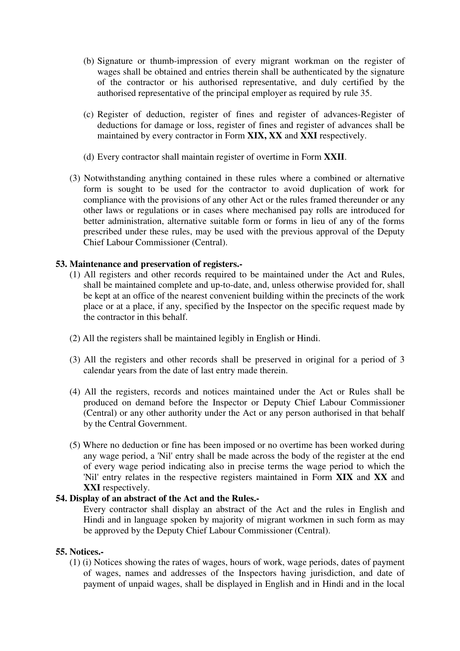- (b) Signature or thumb-impression of every migrant workman on the register of wages shall be obtained and entries therein shall be authenticated by the signature of the contractor or his authorised representative, and duly certified by the authorised representative of the principal employer as required by rule 35.
- (c) Register of deduction, register of fines and register of advances-Register of deductions for damage or loss, register of fines and register of advances shall be maintained by every contractor in Form **XIX, XX** and **XXI** respectively.
- (d) Every contractor shall maintain register of overtime in Form **XXII**.
- (3) Notwithstanding anything contained in these rules where a combined or alternative form is sought to be used for the contractor to avoid duplication of work for compliance with the provisions of any other Act or the rules framed thereunder or any other laws or regulations or in cases where mechanised pay rolls are introduced for better administration, alternative suitable form or forms in lieu of any of the forms prescribed under these rules, may be used with the previous approval of the Deputy Chief Labour Commissioner (Central).

## **53. Maintenance and preservation of registers.-**

- (1) All registers and other records required to be maintained under the Act and Rules, shall be maintained complete and up-to-date, and, unless otherwise provided for, shall be kept at an office of the nearest convenient building within the precincts of the work place or at a place, if any, specified by the Inspector on the specific request made by the contractor in this behalf.
- (2) All the registers shall be maintained legibly in English or Hindi.
- (3) All the registers and other records shall be preserved in original for a period of 3 calendar years from the date of last entry made therein.
- (4) All the registers, records and notices maintained under the Act or Rules shall be produced on demand before the Inspector or Deputy Chief Labour Commissioner (Central) or any other authority under the Act or any person authorised in that behalf by the Central Government.
- (5) Where no deduction or fine has been imposed or no overtime has been worked during any wage period, a 'Nil' entry shall be made across the body of the register at the end of every wage period indicating also in precise terms the wage period to which the 'Nil' entry relates in the respective registers maintained in Form **XIX** and **XX** and **XXI** respectively.

## **54. Display of an abstract of the Act and the Rules.-**

Every contractor shall display an abstract of the Act and the rules in English and Hindi and in language spoken by majority of migrant workmen in such form as may be approved by the Deputy Chief Labour Commissioner (Central).

### **55. Notices.-**

(1) (i) Notices showing the rates of wages, hours of work, wage periods, dates of payment of wages, names and addresses of the Inspectors having jurisdiction, and date of payment of unpaid wages, shall be displayed in English and in Hindi and in the local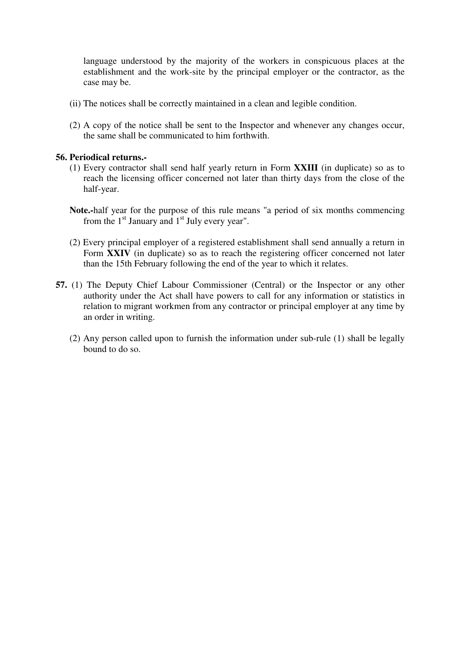language understood by the majority of the workers in conspicuous places at the establishment and the work-site by the principal employer or the contractor, as the case may be.

- (ii) The notices shall be correctly maintained in a clean and legible condition.
- (2) A copy of the notice shall be sent to the Inspector and whenever any changes occur, the same shall be communicated to him forthwith.

### **56. Periodical returns.-**

- (1) Every contractor shall send half yearly return in Form **XXIII** (in duplicate) so as to reach the licensing officer concerned not later than thirty days from the close of the half-year.
- **Note.-**half year for the purpose of this rule means "a period of six months commencing from the  $1<sup>st</sup>$  January and  $1<sup>st</sup>$  July every year".
- (2) Every principal employer of a registered establishment shall send annually a return in Form **XXIV** (in duplicate) so as to reach the registering officer concerned not later than the 15th February following the end of the year to which it relates.
- **57.** (1) The Deputy Chief Labour Commissioner (Central) or the Inspector or any other authority under the Act shall have powers to call for any information or statistics in relation to migrant workmen from any contractor or principal employer at any time by an order in writing.
	- (2) Any person called upon to furnish the information under sub-rule (1) shall be legally bound to do so.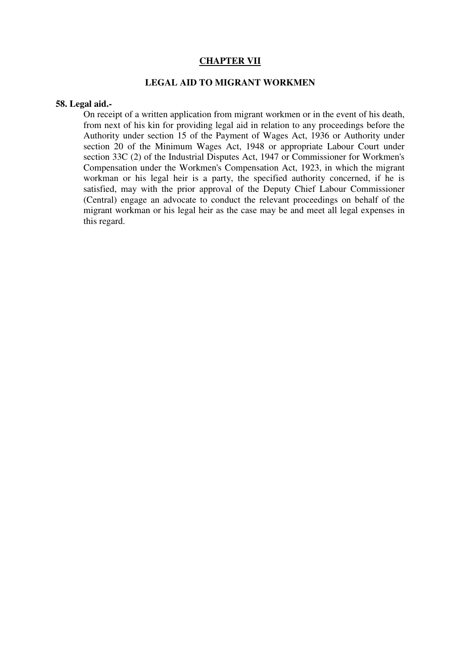#### **CHAPTER VII**

#### **LEGAL AID TO MIGRANT WORKMEN**

#### **58. Legal aid.-**

On receipt of a written application from migrant workmen or in the event of his death, from next of his kin for providing legal aid in relation to any proceedings before the Authority under section 15 of the Payment of Wages Act, 1936 or Authority under section 20 of the Minimum Wages Act, 1948 or appropriate Labour Court under section 33C (2) of the Industrial Disputes Act, 1947 or Commissioner for Workmen's Compensation under the Workmen's Compensation Act, 1923, in which the migrant workman or his legal heir is a party, the specified authority concerned, if he is satisfied, may with the prior approval of the Deputy Chief Labour Commissioner (Central) engage an advocate to conduct the relevant proceedings on behalf of the migrant workman or his legal heir as the case may be and meet all legal expenses in this regard.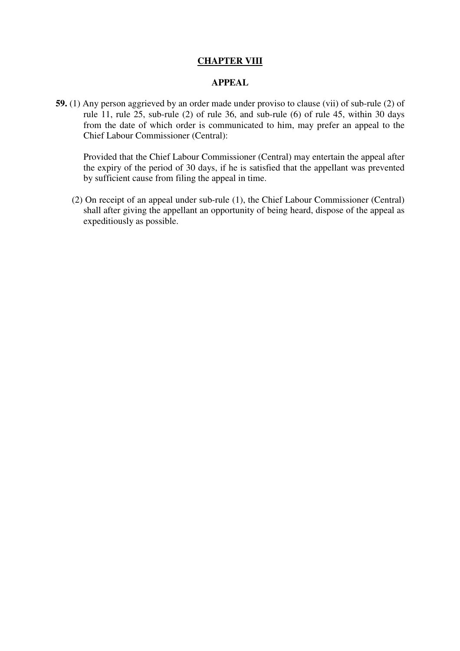## **CHAPTER VIII**

#### **APPEAL**

**59.** (1) Any person aggrieved by an order made under proviso to clause (vii) of sub-rule (2) of rule 11, rule 25, sub-rule (2) of rule 36, and sub-rule (6) of rule 45, within 30 days from the date of which order is communicated to him, may prefer an appeal to the Chief Labour Commissioner (Central):

 Provided that the Chief Labour Commissioner (Central) may entertain the appeal after the expiry of the period of 30 days, if he is satisfied that the appellant was prevented by sufficient cause from filing the appeal in time.

 (2) On receipt of an appeal under sub-rule (1), the Chief Labour Commissioner (Central) shall after giving the appellant an opportunity of being heard, dispose of the appeal as expeditiously as possible.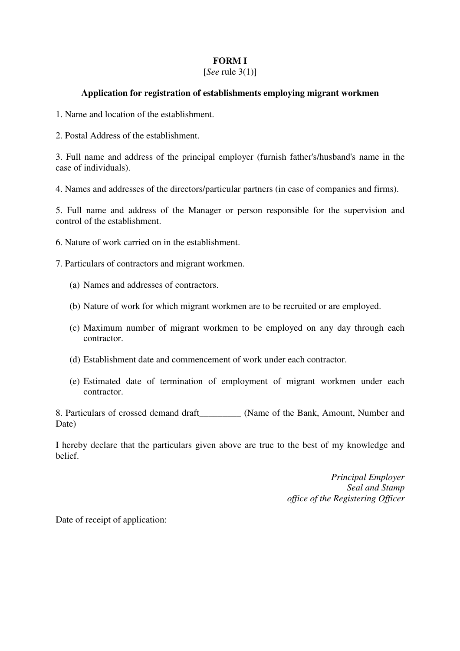## **FORM I**

## [*See* rule 3(1)]

## **Application for registration of establishments employing migrant workmen**

- 1. Name and location of the establishment.
- 2. Postal Address of the establishment.

3. Full name and address of the principal employer (furnish father's/husband's name in the case of individuals).

4. Names and addresses of the directors/particular partners (in case of companies and firms).

5. Full name and address of the Manager or person responsible for the supervision and control of the establishment.

- 6. Nature of work carried on in the establishment.
- 7. Particulars of contractors and migrant workmen.
	- (a) Names and addresses of contractors.
	- (b) Nature of work for which migrant workmen are to be recruited or are employed.
	- (c) Maximum number of migrant workmen to be employed on any day through each contractor.
	- (d) Establishment date and commencement of work under each contractor.
	- (e) Estimated date of termination of employment of migrant workmen under each contractor.

8. Particulars of crossed demand draft\_\_\_\_\_\_\_\_\_ (Name of the Bank, Amount, Number and Date)

I hereby declare that the particulars given above are true to the best of my knowledge and belief.

> *Principal Employer Seal and Stamp office of the Registering Officer*

Date of receipt of application: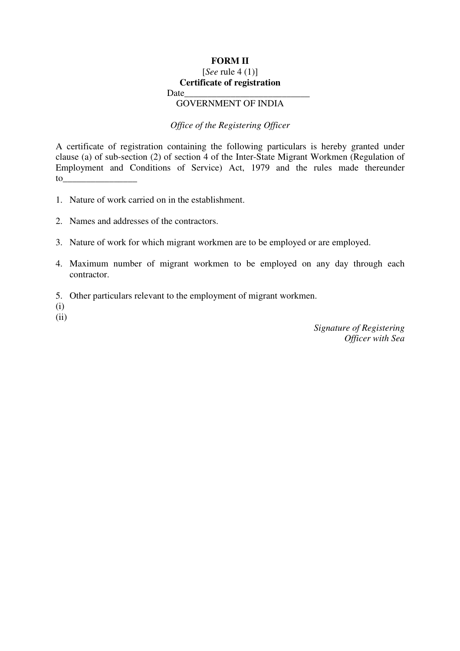## **FORM II**

## [*See* rule 4 (1)] **Certificate of registration**

Date

## GOVERNMENT OF INDIA

*Office of the Registering Officer* 

A certificate of registration containing the following particulars is hereby granted under clause (a) of sub-section (2) of section 4 of the Inter-State Migrant Workmen (Regulation of Employment and Conditions of Service) Act, 1979 and the rules made thereunder to\_\_\_\_\_\_\_\_\_\_\_\_\_\_\_\_

- 1. Nature of work carried on in the establishment.
- 2. Names and addresses of the contractors.
- 3. Nature of work for which migrant workmen are to be employed or are employed.
- 4. Maximum number of migrant workmen to be employed on any day through each contractor.
- 5. Other particulars relevant to the employment of migrant workmen.
- (i)
- $(ii)$

*Signature of Registering Officer with Sea*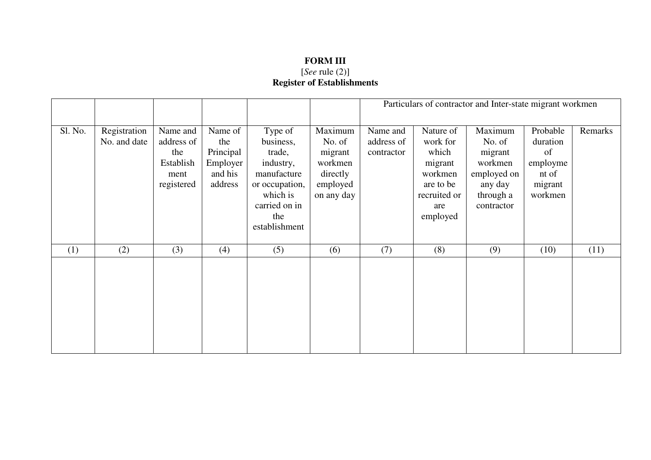## **FORM III**  [*See* rule (2)] **Register of Establishments**

|         |                              |                                                                  |                                                                 |                                                                                                           |                                                                               |                                      |                                                                                          | Particulars of contractor and Inter-state migrant workmen                                    |                                                                       |         |
|---------|------------------------------|------------------------------------------------------------------|-----------------------------------------------------------------|-----------------------------------------------------------------------------------------------------------|-------------------------------------------------------------------------------|--------------------------------------|------------------------------------------------------------------------------------------|----------------------------------------------------------------------------------------------|-----------------------------------------------------------------------|---------|
| Sl. No. | Registration<br>No. and date | Name and<br>address of<br>the<br>Establish<br>ment<br>registered | Name of<br>the<br>Principal<br>Employer  <br>and his<br>address | Type of<br>business,<br>trade,<br>industry,<br>manufacture<br>or occupation,<br>which is<br>carried on in | Maximum<br>No. of<br>migrant<br>workmen<br>directly<br>employed<br>on any day | Name and<br>address of<br>contractor | Nature of<br>work for<br>which<br>migrant<br>workmen<br>are to be<br>recruited or<br>are | Maximum<br>No. of<br>migrant<br>workmen<br>employed on<br>any day<br>through a<br>contractor | Probable<br>duration<br>of<br>employme<br>nt of<br>migrant<br>workmen | Remarks |
|         |                              |                                                                  |                                                                 | the<br>establishment                                                                                      |                                                                               |                                      | employed                                                                                 |                                                                                              |                                                                       |         |
| (1)     | (2)                          | (3)                                                              | (4)                                                             | (5)                                                                                                       | (6)                                                                           | (7)                                  | (8)                                                                                      | (9)                                                                                          | (10)                                                                  | (11)    |
|         |                              |                                                                  |                                                                 |                                                                                                           |                                                                               |                                      |                                                                                          |                                                                                              |                                                                       |         |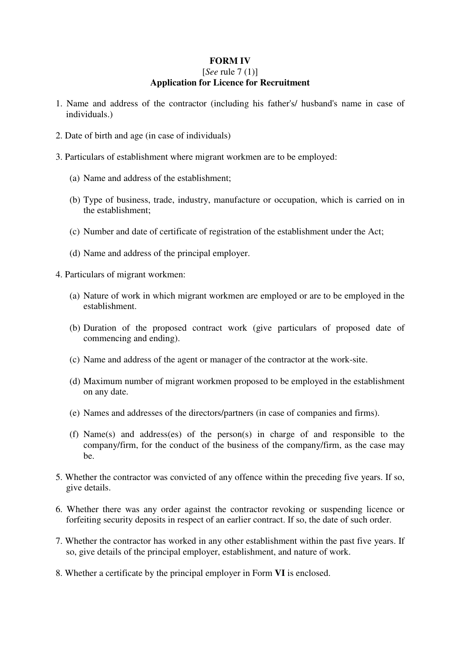## **FORM IV**  [*See* rule 7 (1)] **Application for Licence for Recruitment**

- 1. Name and address of the contractor (including his father's/ husband's name in case of individuals.)
- 2. Date of birth and age (in case of individuals)
- 3. Particulars of establishment where migrant workmen are to be employed:
	- (a) Name and address of the establishment;
	- (b) Type of business, trade, industry, manufacture or occupation, which is carried on in the establishment;
	- (c) Number and date of certificate of registration of the establishment under the Act;
	- (d) Name and address of the principal employer.
- 4. Particulars of migrant workmen:
	- (a) Nature of work in which migrant workmen are employed or are to be employed in the establishment.
	- (b) Duration of the proposed contract work (give particulars of proposed date of commencing and ending).
	- (c) Name and address of the agent or manager of the contractor at the work-site.
	- (d) Maximum number of migrant workmen proposed to be employed in the establishment on any date.
	- (e) Names and addresses of the directors/partners (in case of companies and firms).
	- (f) Name(s) and address(es) of the person(s) in charge of and responsible to the company/firm, for the conduct of the business of the company/firm, as the case may be.
- 5. Whether the contractor was convicted of any offence within the preceding five years. If so, give details.
- 6. Whether there was any order against the contractor revoking or suspending licence or forfeiting security deposits in respect of an earlier contract. If so, the date of such order.
- 7. Whether the contractor has worked in any other establishment within the past five years. If so, give details of the principal employer, establishment, and nature of work.
- 8. Whether a certificate by the principal employer in Form **VI** is enclosed.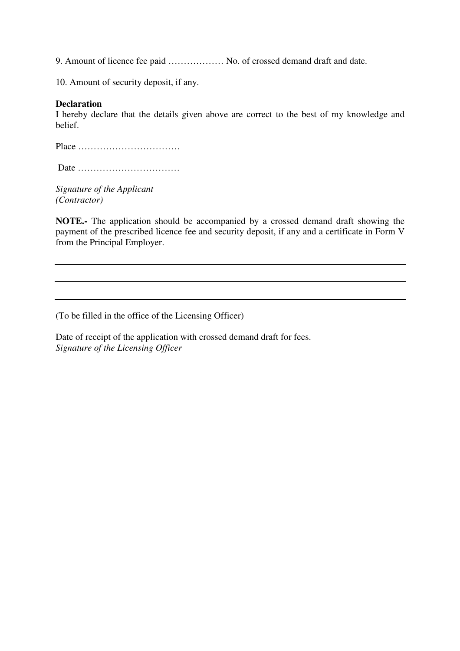9. Amount of licence fee paid ……………… No. of crossed demand draft and date.

10. Amount of security deposit, if any.

## **Declaration**

I hereby declare that the details given above are correct to the best of my knowledge and belief.

Place ……………………………

Date ……………………………

*Signature of the Applicant (Contractor)* 

**NOTE.-** The application should be accompanied by a crossed demand draft showing the payment of the prescribed licence fee and security deposit, if any and a certificate in Form V from the Principal Employer.

(To be filled in the office of the Licensing Officer)

Date of receipt of the application with crossed demand draft for fees. *Signature of the Licensing Officer*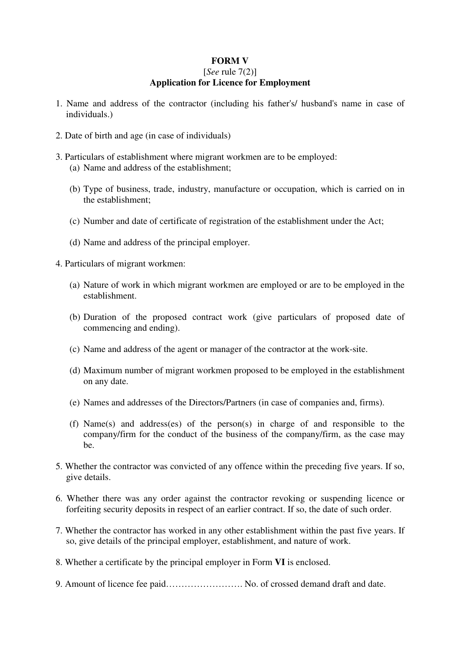## **FORM V**  [*See* rule 7(2)] **Application for Licence for Employment**

- 1. Name and address of the contractor (including his father's/ husband's name in case of individuals.)
- 2. Date of birth and age (in case of individuals)
- 3. Particulars of establishment where migrant workmen are to be employed: (a) Name and address of the establishment;
	- (b) Type of business, trade, industry, manufacture or occupation, which is carried on in the establishment;
	- (c) Number and date of certificate of registration of the establishment under the Act;
	- (d) Name and address of the principal employer.
- 4. Particulars of migrant workmen:
	- (a) Nature of work in which migrant workmen are employed or are to be employed in the establishment.
	- (b) Duration of the proposed contract work (give particulars of proposed date of commencing and ending).
	- (c) Name and address of the agent or manager of the contractor at the work-site.
	- (d) Maximum number of migrant workmen proposed to be employed in the establishment on any date.
	- (e) Names and addresses of the Directors/Partners (in case of companies and, firms).
	- (f) Name(s) and address(es) of the person(s) in charge of and responsible to the company/firm for the conduct of the business of the company/firm, as the case may be.
- 5. Whether the contractor was convicted of any offence within the preceding five years. If so, give details.
- 6. Whether there was any order against the contractor revoking or suspending licence or forfeiting security deposits in respect of an earlier contract. If so, the date of such order.
- 7. Whether the contractor has worked in any other establishment within the past five years. If so, give details of the principal employer, establishment, and nature of work.
- 8. Whether a certificate by the principal employer in Form **VI** is enclosed.
- 9. Amount of licence fee paid……………………. No. of crossed demand draft and date.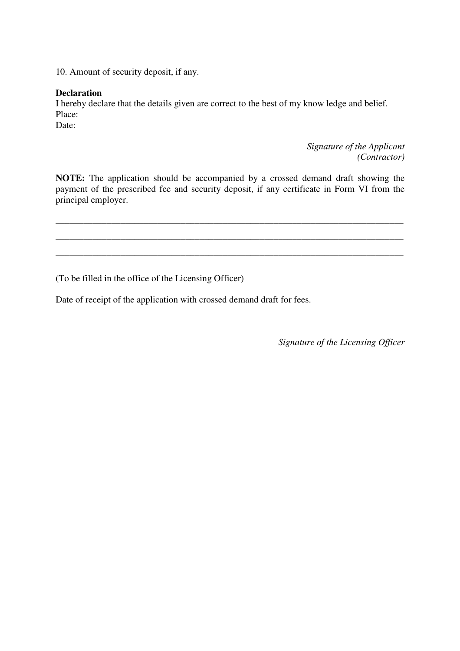10. Amount of security deposit, if any.

### **Declaration**

I hereby declare that the details given are correct to the best of my know ledge and belief. Place:

Date:

*Signature of the Applicant (Contractor)* 

**NOTE:** The application should be accompanied by a crossed demand draft showing the payment of the prescribed fee and security deposit, if any certificate in Form VI from the principal employer.

\_\_\_\_\_\_\_\_\_\_\_\_\_\_\_\_\_\_\_\_\_\_\_\_\_\_\_\_\_\_\_\_\_\_\_\_\_\_\_\_\_\_\_\_\_\_\_\_\_\_\_\_\_\_\_\_\_\_\_\_\_\_\_\_\_\_\_\_\_\_\_\_\_\_\_

\_\_\_\_\_\_\_\_\_\_\_\_\_\_\_\_\_\_\_\_\_\_\_\_\_\_\_\_\_\_\_\_\_\_\_\_\_\_\_\_\_\_\_\_\_\_\_\_\_\_\_\_\_\_\_\_\_\_\_\_\_\_\_\_\_\_\_\_\_\_\_\_\_\_\_

\_\_\_\_\_\_\_\_\_\_\_\_\_\_\_\_\_\_\_\_\_\_\_\_\_\_\_\_\_\_\_\_\_\_\_\_\_\_\_\_\_\_\_\_\_\_\_\_\_\_\_\_\_\_\_\_\_\_\_\_\_\_\_\_\_\_\_\_\_\_\_\_\_\_\_

(To be filled in the office of the Licensing Officer)

Date of receipt of the application with crossed demand draft for fees.

*Signature of the Licensing Officer*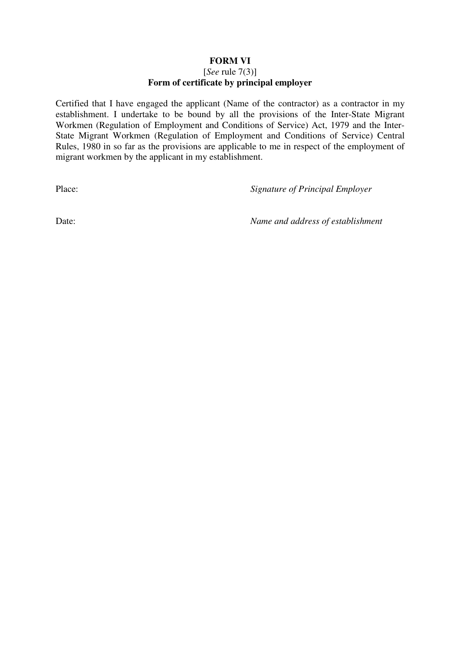## **FORM VI**

### [*See* rule 7(3)] **Form of certificate by principal employer**

Certified that I have engaged the applicant (Name of the contractor) as a contractor in my establishment. I undertake to be bound by all the provisions of the Inter-State Migrant Workmen (Regulation of Employment and Conditions of Service) Act, 1979 and the Inter-State Migrant Workmen (Regulation of Employment and Conditions of Service) Central Rules, 1980 in so far as the provisions are applicable to me in respect of the employment of migrant workmen by the applicant in my establishment.

Place: *Signature of Principal Employer* 

Date: *Name and address of establishment*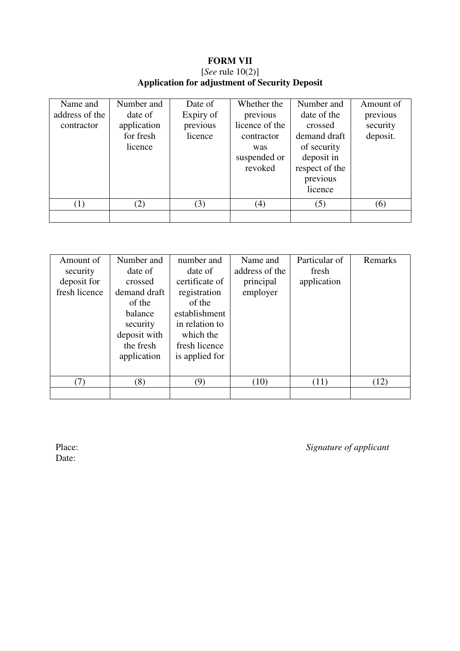## **FORM VII**  [*See* rule 10(2)]

# **Application for adjustment of Security Deposit**

| Name and                     | Number and                                     | Date of                          | Whether the                                                                | Number and                                                                                                   | Amount of                        |
|------------------------------|------------------------------------------------|----------------------------------|----------------------------------------------------------------------------|--------------------------------------------------------------------------------------------------------------|----------------------------------|
| address of the<br>contractor | date of<br>application<br>for fresh<br>licence | Expiry of<br>previous<br>licence | previous<br>licence of the<br>contractor<br>was<br>suspended or<br>revoked | date of the<br>crossed<br>demand draft<br>of security<br>deposit in<br>respect of the<br>previous<br>licence | previous<br>security<br>deposit. |
|                              |                                                |                                  |                                                                            |                                                                                                              |                                  |
| (1)                          | (2)                                            | (3)                              | (4)                                                                        | (5)                                                                                                          | (6)                              |
|                              |                                                |                                  |                                                                            |                                                                                                              |                                  |

| Amount of<br>security<br>deposit for<br>fresh licence | Number and<br>date of<br>crossed<br>demand draft<br>of the<br>balance<br>security<br>deposit with | number and<br>date of<br>certificate of<br>registration<br>of the<br>establishment<br>in relation to<br>which the | Name and<br>address of the<br>principal<br>employer | Particular of<br>fresh<br>application | Remarks |
|-------------------------------------------------------|---------------------------------------------------------------------------------------------------|-------------------------------------------------------------------------------------------------------------------|-----------------------------------------------------|---------------------------------------|---------|
|                                                       | the fresh<br>application                                                                          | fresh licence<br>is applied for                                                                                   |                                                     |                                       |         |
|                                                       |                                                                                                   |                                                                                                                   |                                                     |                                       |         |
| (7)                                                   | (8)                                                                                               | (9)                                                                                                               | (10)                                                | (11)                                  | (12)    |
|                                                       |                                                                                                   |                                                                                                                   |                                                     |                                       |         |

Date:

Place: *Signature of applicant*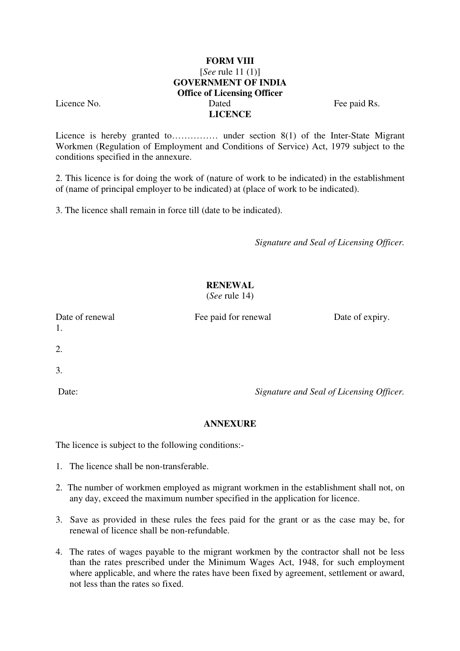## **FORM VIII**  [*See* rule 11 (1)] **GOVERNMENT OF INDIA Office of Licensing Officer**  Licence No. Dated Fee paid Rs. **LICENCE**

Licence is hereby granted to…………… under section 8(1) of the Inter-State Migrant Workmen (Regulation of Employment and Conditions of Service) Act, 1979 subject to the conditions specified in the annexure.

2. This licence is for doing the work of (nature of work to be indicated) in the establishment of (name of principal employer to be indicated) at (place of work to be indicated).

3. The licence shall remain in force till (date to be indicated).

*Signature and Seal of Licensing Officer.* 

# **RENEWAL**

(*See* rule 14)

Date of renewal Fee paid for renewal Date of expiry.

1.

2.

3.

Date: *Signature and Seal of Licensing Officer.* 

## **ANNEXURE**

The licence is subject to the following conditions:-

- 1. The licence shall be non-transferable.
- 2. The number of workmen employed as migrant workmen in the establishment shall not, on any day, exceed the maximum number specified in the application for licence.
- 3. Save as provided in these rules the fees paid for the grant or as the case may be, for renewal of licence shall be non-refundable.
- 4. The rates of wages payable to the migrant workmen by the contractor shall not be less than the rates prescribed under the Minimum Wages Act, 1948, for such employment where applicable, and where the rates have been fixed by agreement, settlement or award, not less than the rates so fixed.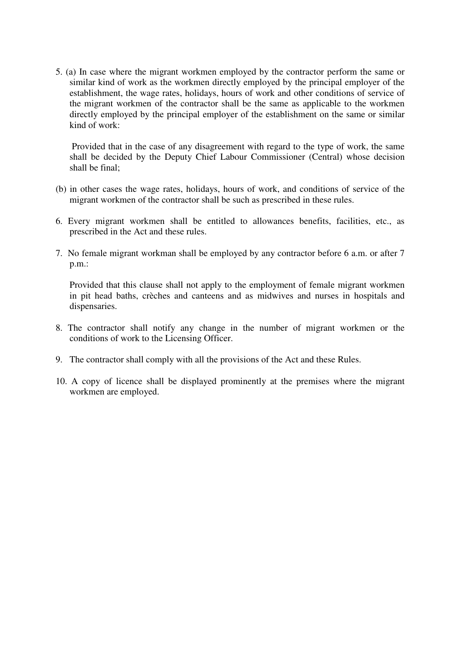5. (a) In case where the migrant workmen employed by the contractor perform the same or similar kind of work as the workmen directly employed by the principal employer of the establishment, the wage rates, holidays, hours of work and other conditions of service of the migrant workmen of the contractor shall be the same as applicable to the workmen directly employed by the principal employer of the establishment on the same or similar kind of work:

 Provided that in the case of any disagreement with regard to the type of work, the same shall be decided by the Deputy Chief Labour Commissioner (Central) whose decision shall be final;

- (b) in other cases the wage rates, holidays, hours of work, and conditions of service of the migrant workmen of the contractor shall be such as prescribed in these rules.
- 6. Every migrant workmen shall be entitled to allowances benefits, facilities, etc., as prescribed in the Act and these rules.
- 7. No female migrant workman shall be employed by any contractor before 6 a.m. or after 7 p.m.:

 Provided that this clause shall not apply to the employment of female migrant workmen in pit head baths, crèches and canteens and as midwives and nurses in hospitals and dispensaries.

- 8. The contractor shall notify any change in the number of migrant workmen or the conditions of work to the Licensing Officer.
- 9. The contractor shall comply with all the provisions of the Act and these Rules.
- 10. A copy of licence shall be displayed prominently at the premises where the migrant workmen are employed.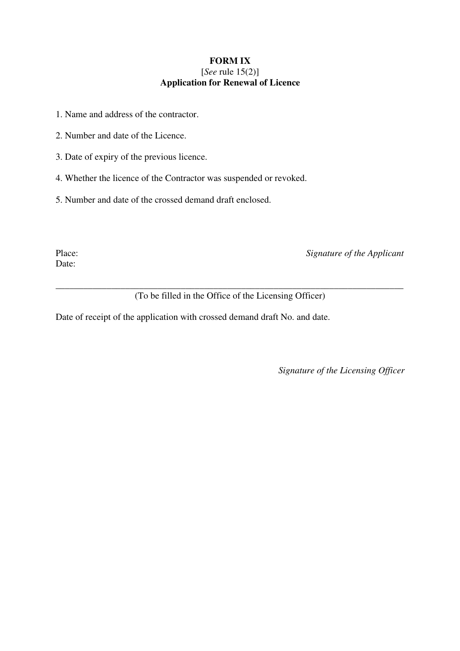## **FORM IX**  [*See* rule 15(2)] **Application for Renewal of Licence**

- 1. Name and address of the contractor.
- 2. Number and date of the Licence.
- 3. Date of expiry of the previous licence.
- 4. Whether the licence of the Contractor was suspended or revoked.
- 5. Number and date of the crossed demand draft enclosed.

Date:

Place: *Signature of the Applicant* 

\_\_\_\_\_\_\_\_\_\_\_\_\_\_\_\_\_\_\_\_\_\_\_\_\_\_\_\_\_\_\_\_\_\_\_\_\_\_\_\_\_\_\_\_\_\_\_\_\_\_\_\_\_\_\_\_\_\_\_\_\_\_\_\_\_\_\_\_\_\_\_\_\_\_\_ (To be filled in the Office of the Licensing Officer)

Date of receipt of the application with crossed demand draft No. and date.

*Signature of the Licensing Officer*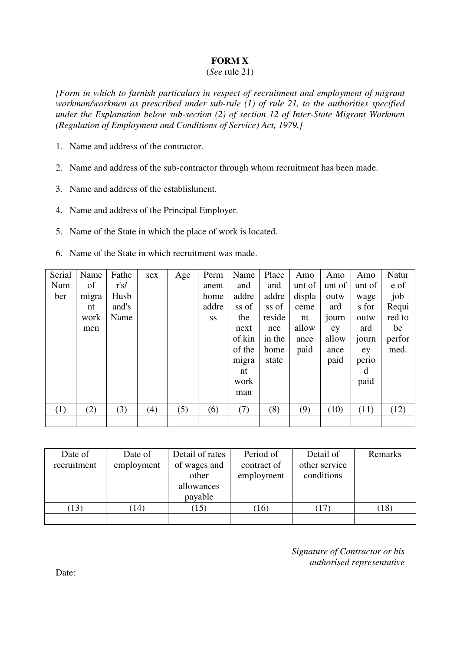## **FORM X**

### (*See* rule 21)

*[Form in which to furnish particulars in respect of recruitment and employment of migrant workman/workmen as prescribed under sub-rule (1) of rule 21, to the authorities specified under the Explanation below sub-section (2) of section 12 of Inter-State Migrant Workmen (Regulation of Employment and Conditions of Service) Act, 1979.]* 

- 1. Name and address of the contractor.
- 2. Name and address of the sub-contractor through whom recruitment has been made.
- 3. Name and address of the establishment.
- 4. Name and address of the Principal Employer.
- 5. Name of the State in which the place of work is located.
- 6. Name of the State in which recruitment was made.

| Serial | Name  | Fathe | sex | Age | Perm      | Name   | Place  | Amo    | Amo    | Amo    | Natur  |
|--------|-------|-------|-----|-----|-----------|--------|--------|--------|--------|--------|--------|
| Num    | of    | r's/  |     |     | anent     | and    | and    | unt of | unt of | unt of | e of   |
| ber    | migra | Husb  |     |     | home      | addre  | addre  | displa | outw   | wage   | job    |
|        | nt    | and's |     |     | addre     | ss of  | ss of  | ceme   | ard    | s for  | Requi  |
|        | work  | Name  |     |     | <b>SS</b> | the    | reside | nt     | journ  | outw   | red to |
|        | men   |       |     |     |           | next   | nce    | allow  | ey     | ard    | be     |
|        |       |       |     |     |           | of kin | in the | ance   | allow  | journ  | perfor |
|        |       |       |     |     |           | of the | home   | paid   | ance   | ey     | med.   |
|        |       |       |     |     |           | migra  | state  |        | paid   | perio  |        |
|        |       |       |     |     |           | nt     |        |        |        | d      |        |
|        |       |       |     |     |           | work   |        |        |        | paid   |        |
|        |       |       |     |     |           | man    |        |        |        |        |        |
|        |       |       |     |     |           |        |        |        |        |        |        |
| (1)    | (2)   | (3)   | (4) | (5) | (6)       | (7)    | (8)    | (9)    | (10)   | (11)   | (12)   |
|        |       |       |     |     |           |        |        |        |        |        |        |

| Date of     | Date of    | Detail of rates | Period of   | Detail of     | Remarks |
|-------------|------------|-----------------|-------------|---------------|---------|
| recruitment | employment | of wages and    | contract of | other service |         |
|             |            | other           | employment  | conditions    |         |
|             |            | allowances      |             |               |         |
|             |            | payable         |             |               |         |
| (13)        | (14)       | 15)             | (16)        | $17\,$        | (18)    |
|             |            |                 |             |               |         |

*Signature of Contractor or his authorised representative* 

Date: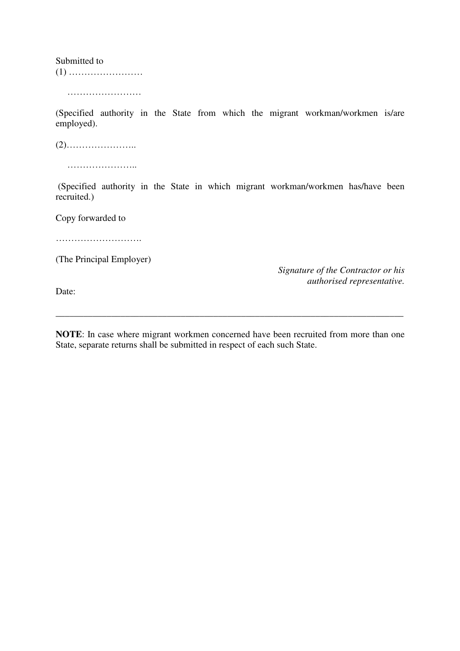Submitted to (1) ……………………

………………………

(Specified authority in the State from which the migrant workman/workmen is/are employed).

(2)…………………..

……………………

 (Specified authority in the State in which migrant workman/workmen has/have been recruited.)

Copy forwarded to

……………………….

(The Principal Employer)

*Signature of the Contractor or his authorised representative.* 

Date:

**NOTE**: In case where migrant workmen concerned have been recruited from more than one State, separate returns shall be submitted in respect of each such State.

\_\_\_\_\_\_\_\_\_\_\_\_\_\_\_\_\_\_\_\_\_\_\_\_\_\_\_\_\_\_\_\_\_\_\_\_\_\_\_\_\_\_\_\_\_\_\_\_\_\_\_\_\_\_\_\_\_\_\_\_\_\_\_\_\_\_\_\_\_\_\_\_\_\_\_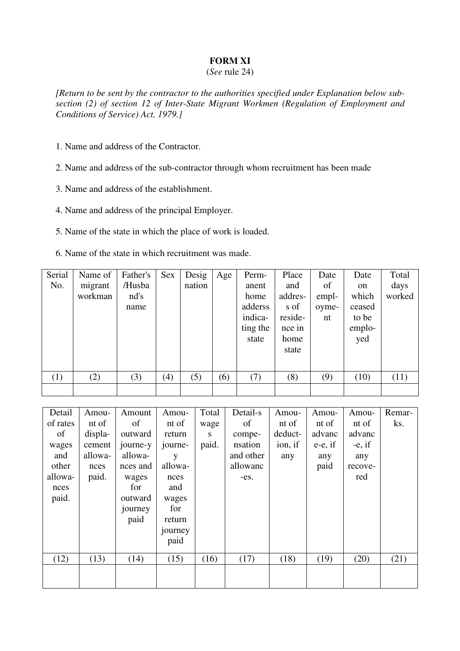## **FORM XI**

### (*See* rule 24)

*[Return to be sent by the contractor to the authorities specified under Explanation below subsection (2) of section 12 of Inter-State Migrant Workmen (Regulation of Employment and Conditions of Service) Act, 1979.]* 

1. Name and address of the Contractor.

2. Name and address of the sub-contractor through whom recruitment has been made

3. Name and address of the establishment.

4. Name and address of the principal Employer.

5. Name of the state in which the place of work is loaded.

6. Name of the state in which recruitment was made.

| Serial | Name of | Father's | Sex | Desig  | Age | Perm-    | Place   | Date  | Date   | Total  |
|--------|---------|----------|-----|--------|-----|----------|---------|-------|--------|--------|
| No.    | migrant | /Husba   |     | nation |     | anent    | and     | of    | on     | days   |
|        | workman | nd's     |     |        |     | home     | addres- | empl- | which  | worked |
|        |         | name     |     |        |     | adderss  | s of    | oyme- | ceased |        |
|        |         |          |     |        |     | indica-  | reside- | nt    | to be  |        |
|        |         |          |     |        |     | ting the | nce in  |       | emplo- |        |
|        |         |          |     |        |     | state    | home    |       | yed    |        |
|        |         |          |     |        |     |          | state   |       |        |        |
|        |         |          |     |        |     |          |         |       |        |        |
| (1)    | (2)     | (3)      | (4) | (5)    | (6) | (7)      | (8)     | (9)   | (10)   | (11)   |
|        |         |          |     |        |     |          |         |       |        |        |
|        |         |          |     |        |     |          |         |       |        |        |

| Detail   | Amou-   | Amount   | Amou-   | Total | Detail-s  | Amou-   | Amou-      | Amou-     | Remar- |
|----------|---------|----------|---------|-------|-----------|---------|------------|-----------|--------|
| of rates | nt of   | of       | nt of   | wage  | of        | nt of   | nt of      | nt of     | ks.    |
| of       | displa- | outward  | return  | S     | compe-    | deduct- | advanc     | advanc    |        |
| wages    | cement  | journe-y | journe- | paid. | nsation   | ion, if | $e-e$ , if | $-e$ , if |        |
| and      | allowa- | allowa-  | y       |       | and other | any     | any        | any       |        |
| other    | nces    | nces and | allowa- |       | allowanc  |         | paid       | recove-   |        |
| allowa-  | paid.   | wages    | nces    |       | $-es.$    |         |            | red       |        |
| nces     |         | for      | and     |       |           |         |            |           |        |
| paid.    |         | outward  | wages   |       |           |         |            |           |        |
|          |         | journey  | for     |       |           |         |            |           |        |
|          |         | paid     | return  |       |           |         |            |           |        |
|          |         |          | journey |       |           |         |            |           |        |
|          |         |          | paid    |       |           |         |            |           |        |
| (12)     | (13)    | (14)     | (15)    | (16)  | (17)      | (18)    | (19)       | (20)      | (21)   |
|          |         |          |         |       |           |         |            |           |        |
|          |         |          |         |       |           |         |            |           |        |
|          |         |          |         |       |           |         |            |           |        |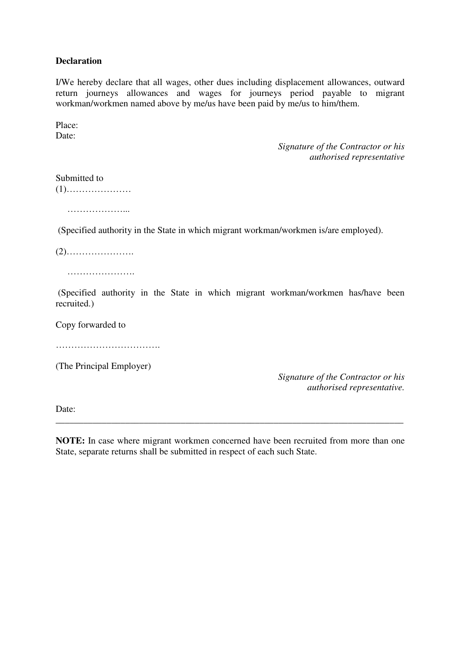## **Declaration**

I/We hereby declare that all wages, other dues including displacement allowances, outward return journeys allowances and wages for journeys period payable to migrant workman/workmen named above by me/us have been paid by me/us to him/them.

Place: Date:

> *Signature of the Contractor or his authorised representative*

Submitted to (1)…………………

…………………

(Specified authority in the State in which migrant workman/workmen is/are employed).

(2)………………….

………………….

 (Specified authority in the State in which migrant workman/workmen has/have been recruited.)

Copy forwarded to

………………………………………

(The Principal Employer)

*Signature of the Contractor or his authorised representative.*

Date:

**NOTE:** In case where migrant workmen concerned have been recruited from more than one State, separate returns shall be submitted in respect of each such State.

\_\_\_\_\_\_\_\_\_\_\_\_\_\_\_\_\_\_\_\_\_\_\_\_\_\_\_\_\_\_\_\_\_\_\_\_\_\_\_\_\_\_\_\_\_\_\_\_\_\_\_\_\_\_\_\_\_\_\_\_\_\_\_\_\_\_\_\_\_\_\_\_\_\_\_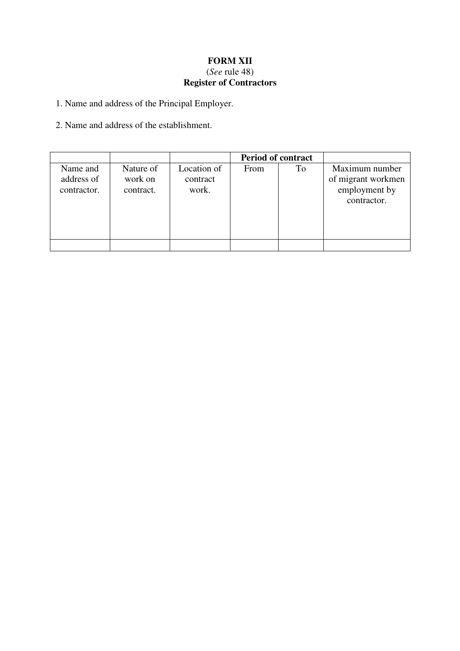## **FORM XII**  (*See* rule 48) **Register of Contractors**

1. Name and address of the Principal Employer.

2. Name and address of the establishment.

|                                       |                                   |                                  | <b>Period of contract</b> |    |                                                                      |
|---------------------------------------|-----------------------------------|----------------------------------|---------------------------|----|----------------------------------------------------------------------|
| Name and<br>address of<br>contractor. | Nature of<br>work on<br>contract. | Location of<br>contract<br>work. | From                      | To | Maximum number<br>of migrant workmen<br>employment by<br>contractor. |
|                                       |                                   |                                  |                           |    |                                                                      |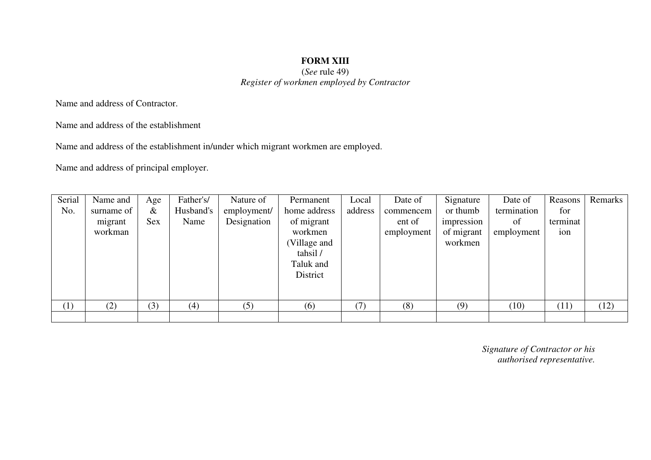## **FORM XIII**  (*See* rule 49) *Register of workmen employed by Contractor*

Name and address of Contractor.

Name and address of the establishment

Name and address of the establishment in/under which migrant workmen are employed.

Name and address of principal employer.

| Serial<br>No. | Name and<br>surname of<br>migrant<br>workman | Age<br>$\&$<br><b>Sex</b> | Father's/<br>Husband's<br>Name | Nature of<br>employment/<br>Designation | Permanent<br>home address<br>of migrant<br>workmen<br>(Village and<br>tahsil/<br>Taluk and<br>District | Local<br>address | Date of<br>commencem<br>ent of<br>employment | Signature<br>or thumb<br>impression<br>of migrant<br>workmen | Date of<br>termination<br>of<br>employment | Reasons<br>for<br>terminat<br>ion | Remarks |
|---------------|----------------------------------------------|---------------------------|--------------------------------|-----------------------------------------|--------------------------------------------------------------------------------------------------------|------------------|----------------------------------------------|--------------------------------------------------------------|--------------------------------------------|-----------------------------------|---------|
| (1)           | (2)                                          | (3)                       | (4)                            | (5)                                     | (6)                                                                                                    | (7)              | (8)                                          | (9)                                                          | (10)                                       | (11)                              | (12)    |
|               |                                              |                           |                                |                                         |                                                                                                        |                  |                                              |                                                              |                                            |                                   |         |

*Signature of Contractor or his authorised representative.*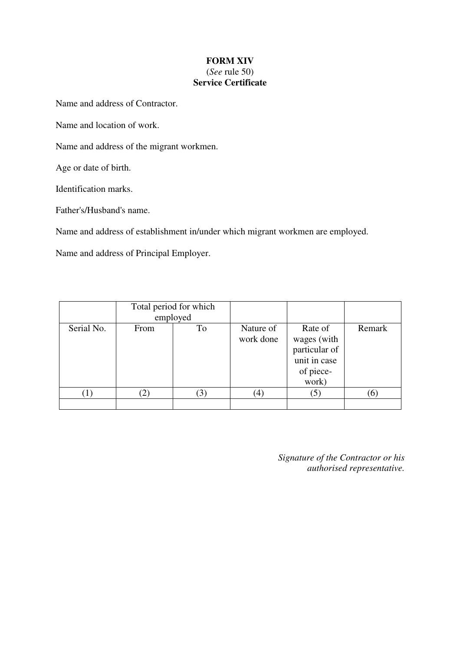## **FORM XIV**  (*See* rule 50) **Service Certificate**

Name and address of Contractor.

Name and location of work.

Name and address of the migrant workmen.

Age or date of birth.

Identification marks.

Father's/Husband's name.

Name and address of establishment in/under which migrant workmen are employed.

Name and address of Principal Employer.

|            |      | Total period for which<br>employed |                        |                                                                               |        |
|------------|------|------------------------------------|------------------------|-------------------------------------------------------------------------------|--------|
| Serial No. | From | To                                 | Nature of<br>work done | Rate of<br>wages (with<br>particular of<br>unit in case<br>of piece-<br>work) | Remark |
|            |      |                                    | $\left(4\right)$       | (5)                                                                           | 6      |
|            |      |                                    |                        |                                                                               |        |

*Signature of the Contractor or his authorised representative.*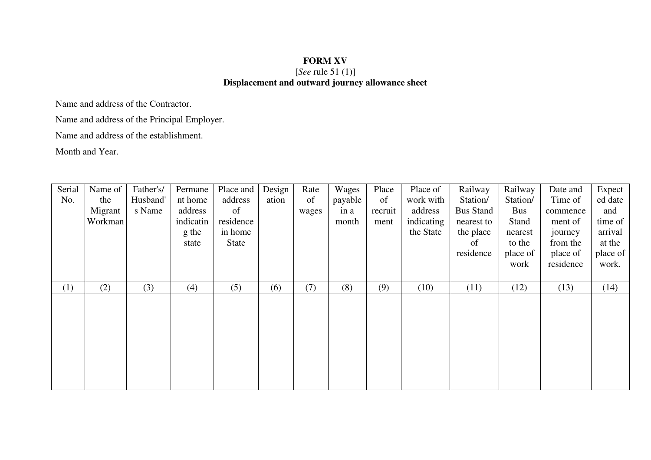## **FORM XV**  [*See* rule 51 (1)] **Displacement and outward journey allowance sheet**

Name and address of the Contractor.

Name and address of the Principal Employer.

Name and address of the establishment.

Month and Year.

| Serial | Name of | Father's/ | Permane   | Place and | Design | Rate  | Wages   | Place   | Place of   | Railway          | Railway  | Date and  | Expect           |
|--------|---------|-----------|-----------|-----------|--------|-------|---------|---------|------------|------------------|----------|-----------|------------------|
| No.    | the     | Husband'  | nt home   | address   | ation  | of    | payable | of      | work with  | Station/         | Station/ | Time of   | ed date          |
|        | Migrant | s Name    | address   | of        |        | wages | in a    | recruit | address    | <b>Bus Stand</b> | Bus      | commence  | and              |
|        | Workman |           | indicatin | residence |        |       | month   | ment    | indicating | nearest to       | Stand    | ment of   | time of          |
|        |         |           | g the     | in home   |        |       |         |         | the State  | the place        | nearest  | journey   | arrival          |
|        |         |           | state     | State     |        |       |         |         |            | of               | to the   | from the  | at the           |
|        |         |           |           |           |        |       |         |         |            | residence        | place of | place of  | place of $\vert$ |
|        |         |           |           |           |        |       |         |         |            |                  | work     | residence | work.            |
|        |         |           |           |           |        |       |         |         |            |                  |          |           |                  |
| (1)    | (2)     | (3)       | (4)       | (5)       | (6)    | (7)   | (8)     | (9)     | (10)       | (11)             | (12)     | (13)      | (14)             |
|        |         |           |           |           |        |       |         |         |            |                  |          |           |                  |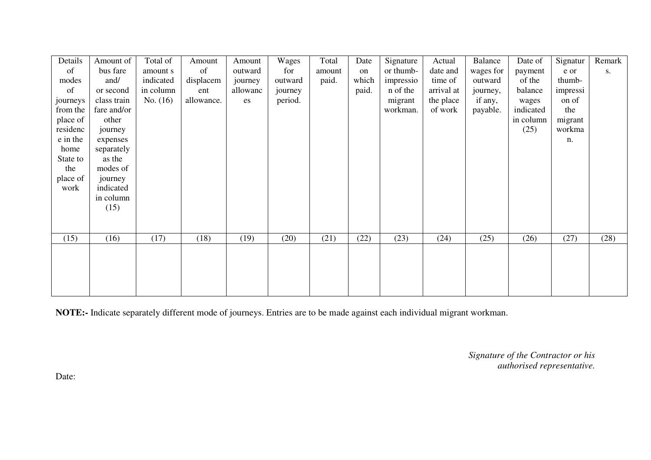| Details  | Amount of   | Total of   | Amount     | Amount   | Wages   | Total  | Date  | Signature | Actual     | Balance   | Date of   | Signatur | Remark |
|----------|-------------|------------|------------|----------|---------|--------|-------|-----------|------------|-----------|-----------|----------|--------|
| of       | bus fare    | amount s   | of         | outward  | for     | amount | on    | or thumb- | date and   | wages for | payment   | e or     | S.     |
| modes    | and/        | indicated  | displacem  | journey  | outward | paid.  | which | impressio | time of    | outward   | of the    | thumb-   |        |
| of       | or second   | in column  | ent        | allowanc | journey |        | paid. | n of the  | arrival at | journey,  | balance   | impressi |        |
| journeys | class train | No. $(16)$ | allowance. | es       | period. |        |       | migrant   | the place  | if any,   | wages     | on of    |        |
| from the | fare and/or |            |            |          |         |        |       | workman.  | of work    | payable.  | indicated | the      |        |
| place of | other       |            |            |          |         |        |       |           |            |           | in column | migrant  |        |
| residenc | journey     |            |            |          |         |        |       |           |            |           | (25)      | workma   |        |
| e in the | expenses    |            |            |          |         |        |       |           |            |           |           | n.       |        |
| home     | separately  |            |            |          |         |        |       |           |            |           |           |          |        |
| State to | as the      |            |            |          |         |        |       |           |            |           |           |          |        |
| the      | modes of    |            |            |          |         |        |       |           |            |           |           |          |        |
| place of | journey     |            |            |          |         |        |       |           |            |           |           |          |        |
| work     | indicated   |            |            |          |         |        |       |           |            |           |           |          |        |
|          | in column   |            |            |          |         |        |       |           |            |           |           |          |        |
|          | (15)        |            |            |          |         |        |       |           |            |           |           |          |        |
|          |             |            |            |          |         |        |       |           |            |           |           |          |        |
| (15)     | (16)        | (17)       | (18)       | (19)     | (20)    | (21)   | (22)  | (23)      | (24)       | (25)      | (26)      | (27)     | (28)   |
|          |             |            |            |          |         |        |       |           |            |           |           |          |        |
|          |             |            |            |          |         |        |       |           |            |           |           |          |        |
|          |             |            |            |          |         |        |       |           |            |           |           |          |        |
|          |             |            |            |          |         |        |       |           |            |           |           |          |        |
|          |             |            |            |          |         |        |       |           |            |           |           |          |        |
|          |             |            |            |          |         |        |       |           |            |           |           |          |        |

**NOTE:-** Indicate separately different mode of journeys. Entries are to be made against each individual migrant workman.

*Signature of the Contractor or his authorised representative.* 

Date: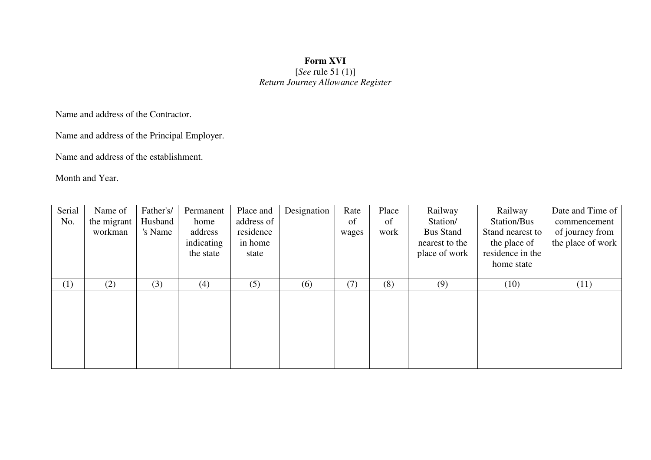## **Form XVI**  [*See* rule 51 (1)] *Return Journey Allowance Register*

Name and address of the Contractor.

Name and address of the Principal Employer.

Name and address of the establishment.

Month and Year.

| Serial | Name of     | Father's/ | Permanent  | Place and  | Designation | Rate  | Place | Railway          | Railway          | Date and Time of  |
|--------|-------------|-----------|------------|------------|-------------|-------|-------|------------------|------------------|-------------------|
| No.    | the migrant | Husband   | home       | address of |             | of    | of    | Station/         | Station/Bus      | commencement      |
|        | workman     | 's Name   | address    | residence  |             | wages | work  | <b>Bus Stand</b> | Stand nearest to | of journey from   |
|        |             |           | indicating | in home    |             |       |       | nearest to the   | the place of     | the place of work |
|        |             |           | the state  | state      |             |       |       | place of work    | residence in the |                   |
|        |             |           |            |            |             |       |       |                  | home state       |                   |
|        |             |           |            |            |             |       |       |                  |                  |                   |
| (1)    | (2)         | (3)       | (4)        | (5)        | (6)         | (7)   | (8)   | (9)              | (10)             | (11)              |
|        |             |           |            |            |             |       |       |                  |                  |                   |
|        |             |           |            |            |             |       |       |                  |                  |                   |
|        |             |           |            |            |             |       |       |                  |                  |                   |
|        |             |           |            |            |             |       |       |                  |                  |                   |
|        |             |           |            |            |             |       |       |                  |                  |                   |
|        |             |           |            |            |             |       |       |                  |                  |                   |
|        |             |           |            |            |             |       |       |                  |                  |                   |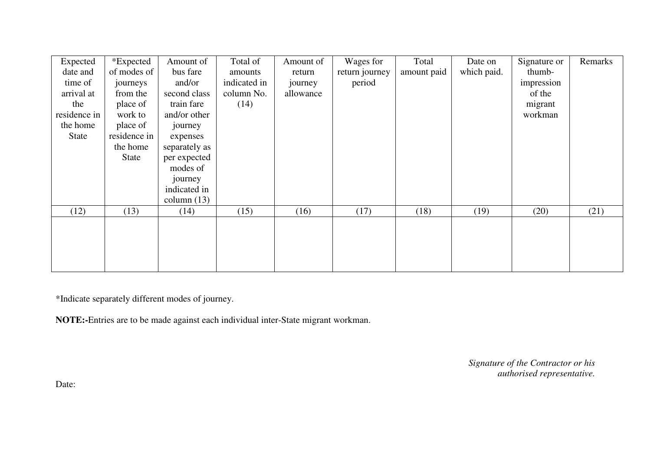| Expected     | *Expected    | Amount of     | Total of     | Amount of | Wages for      | Total       | Date on     | Signature or | Remarks |
|--------------|--------------|---------------|--------------|-----------|----------------|-------------|-------------|--------------|---------|
| date and     | of modes of  | bus fare      | amounts      | return    | return journey | amount paid | which paid. | thumb-       |         |
| time of      | journeys     | and/or        | indicated in | journey   | period         |             |             | impression   |         |
| arrival at   | from the     | second class  | column No.   | allowance |                |             |             | of the       |         |
| the          | place of     | train fare    | (14)         |           |                |             |             | migrant      |         |
| residence in | work to      | and/or other  |              |           |                |             |             | workman      |         |
| the home     | place of     | journey       |              |           |                |             |             |              |         |
| State        | residence in | expenses      |              |           |                |             |             |              |         |
|              | the home     | separately as |              |           |                |             |             |              |         |
|              | <b>State</b> | per expected  |              |           |                |             |             |              |         |
|              |              | modes of      |              |           |                |             |             |              |         |
|              |              | journey       |              |           |                |             |             |              |         |
|              |              | indicated in  |              |           |                |             |             |              |         |
|              |              | column $(13)$ |              |           |                |             |             |              |         |
| (12)         | (13)         | (14)          | (15)         | (16)      | (17)           | (18)        | (19)        | (20)         | (21)    |
|              |              |               |              |           |                |             |             |              |         |
|              |              |               |              |           |                |             |             |              |         |
|              |              |               |              |           |                |             |             |              |         |
|              |              |               |              |           |                |             |             |              |         |
|              |              |               |              |           |                |             |             |              |         |

\*Indicate separately different modes of journey.

**NOTE:-**Entries are to be made against each individual inter-State migrant workman.

*Signature of the Contractor or his authorised representative.* 

Date: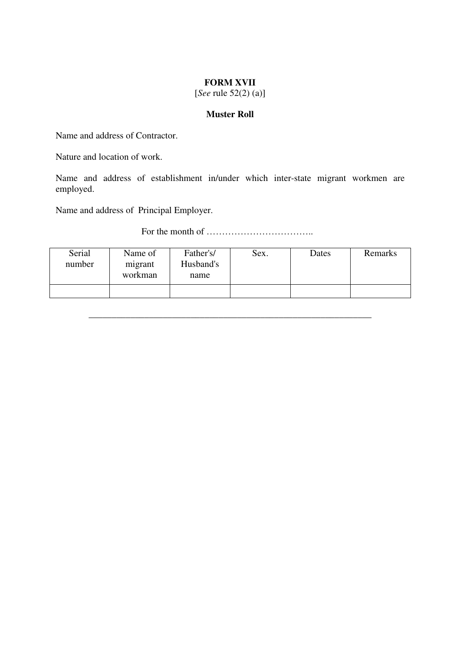## **FORM XVII**

[*See* rule 52(2) (a)]

## **Muster Roll**

Name and address of Contractor.

Nature and location of work.

Name and address of establishment in/under which inter-state migrant workmen are employed.

Name and address of Principal Employer.

# For the month of ……………………………..

| Serial<br>number | Name of<br>migrant<br>workman | Father's/<br>Husband's<br>name | Sex. | Dates | Remarks |
|------------------|-------------------------------|--------------------------------|------|-------|---------|
|                  |                               |                                |      |       |         |

\_\_\_\_\_\_\_\_\_\_\_\_\_\_\_\_\_\_\_\_\_\_\_\_\_\_\_\_\_\_\_\_\_\_\_\_\_\_\_\_\_\_\_\_\_\_\_\_\_\_\_\_\_\_\_\_\_\_\_\_\_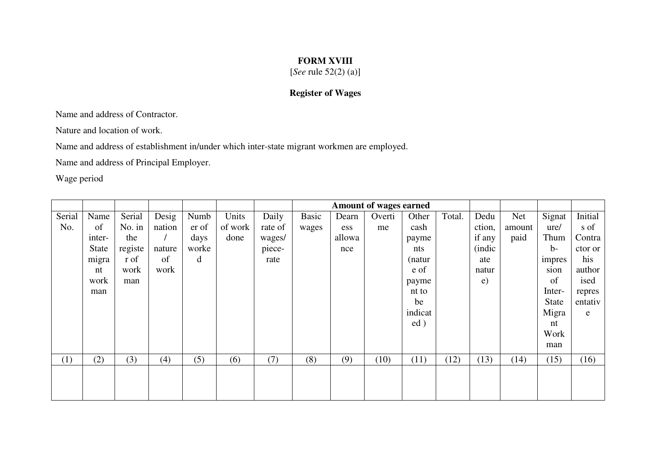## **FORM XVIII**

[*See* rule 52(2) (a)]

## **Register of Wages**

Name and address of Contractor.

Nature and location of work.

Name and address of establishment in/under which inter-state migrant workmen are employed.

Name and address of Principal Employer.

Wage period

|        |        |         |        |       |         |         |       |        | <b>Amount of wages earned</b> |         |        |              |        |              |             |
|--------|--------|---------|--------|-------|---------|---------|-------|--------|-------------------------------|---------|--------|--------------|--------|--------------|-------------|
| Serial | Name   | Serial  | Desig  | Numb  | Units   | Daily   | Basic | Dearn  | Overti                        | Other   | Total. | Dedu         | Net    | Signat       | Initial     |
| No.    | of     | No. in  | nation | er of | of work | rate of | wages | ess    | me                            | cash    |        | ction,       | amount | ure/         | s of        |
|        | inter- | the     |        | days  | done    | wages/  |       | allowa |                               | payme   |        | if any       | paid   | Thum         | Contra      |
|        | State  | registe | nature | worke |         | piece-  |       | nce    |                               | nts     |        | (indic       |        | $b-$         | ctor or     |
|        | migra  | r of    | of     | d     |         | rate    |       |        |                               | (natur  |        | ate          |        | impres       | his         |
|        | nt     | work    | work   |       |         |         |       |        |                               | e of    |        | natur        |        | sion         | author      |
|        | work   | man     |        |       |         |         |       |        |                               | payme   |        | $\epsilon$ ) |        | of           | ised        |
|        | man    |         |        |       |         |         |       |        |                               | nt to   |        |              |        | Inter-       | repres      |
|        |        |         |        |       |         |         |       |        |                               | be      |        |              |        | <b>State</b> | entativ     |
|        |        |         |        |       |         |         |       |        |                               | indicat |        |              |        | Migra        | $\mathbf e$ |
|        |        |         |        |       |         |         |       |        |                               | ed)     |        |              |        | nt           |             |
|        |        |         |        |       |         |         |       |        |                               |         |        |              |        | Work         |             |
|        |        |         |        |       |         |         |       |        |                               |         |        |              |        | man          |             |
| (1)    | (2)    | (3)     | (4)    | (5)   | (6)     | (7)     | (8)   | (9)    | (10)                          | (11)    | (12)   | (13)         | (14)   | (15)         | (16)        |
|        |        |         |        |       |         |         |       |        |                               |         |        |              |        |              |             |
|        |        |         |        |       |         |         |       |        |                               |         |        |              |        |              |             |
|        |        |         |        |       |         |         |       |        |                               |         |        |              |        |              |             |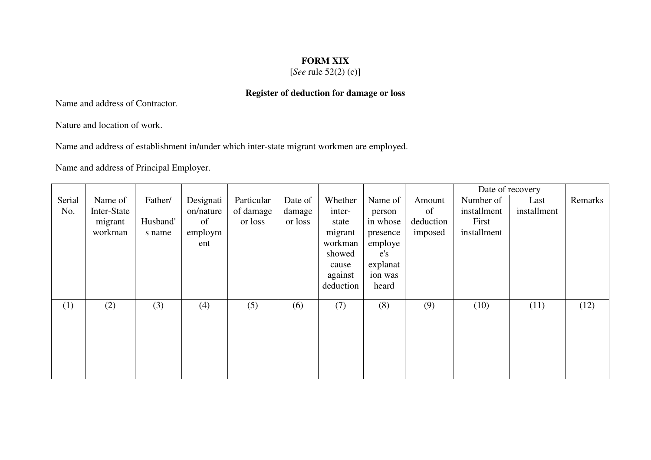## **FORM XIX**

[*See* rule 52(2) (c)]

## **Register of deduction for damage or loss**

Name and address of Contractor.

Nature and location of work.

Name and address of establishment in/under which inter-state migrant workmen are employed.

|        |             |          |           |            |         |           |          |           |             | Date of recovery |         |
|--------|-------------|----------|-----------|------------|---------|-----------|----------|-----------|-------------|------------------|---------|
| Serial | Name of     | Father/  | Designati | Particular | Date of | Whether   | Name of  | Amount    | Number of   | Last             | Remarks |
| No.    | Inter-State |          | on/nature | of damage  | damage  | inter-    | person   | of        | installment | installment      |         |
|        | migrant     | Husband' | of        | or loss    | or loss | state     | in whose | deduction | First       |                  |         |
|        | workman     | s name   | employm   |            |         | migrant   | presence | imposed   | installment |                  |         |
|        |             |          | ent       |            |         | workman   | employe  |           |             |                  |         |
|        |             |          |           |            |         | showed    | e's      |           |             |                  |         |
|        |             |          |           |            |         | cause     | explanat |           |             |                  |         |
|        |             |          |           |            |         | against   | ion was  |           |             |                  |         |
|        |             |          |           |            |         | deduction | heard    |           |             |                  |         |
|        |             |          |           |            |         |           |          |           |             |                  |         |
| (1)    | (2)         | (3)      | (4)       | (5)        | (6)     | (7)       | (8)      | (9)       | (10)        | (11)             | (12)    |
|        |             |          |           |            |         |           |          |           |             |                  |         |
|        |             |          |           |            |         |           |          |           |             |                  |         |
|        |             |          |           |            |         |           |          |           |             |                  |         |
|        |             |          |           |            |         |           |          |           |             |                  |         |
|        |             |          |           |            |         |           |          |           |             |                  |         |
|        |             |          |           |            |         |           |          |           |             |                  |         |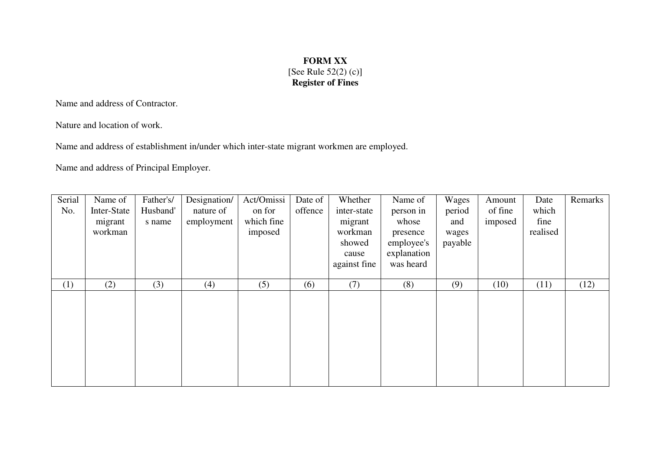## **FORM XX**  [See Rule 52(2) (c)] **Register of Fines**

Name and address of Contractor.

Nature and location of work.

Name and address of establishment in/under which inter-state migrant workmen are employed.

| Serial<br>No. | Name of<br>Inter-State<br>migrant<br>workman | Father's/<br>Husband'<br>s name | Designation/<br>nature of<br>employment | Act/Omissi<br>on for<br>which fine<br>imposed | Date of<br>offence | Whether<br>inter-state<br>migrant<br>workman<br>showed<br>cause<br>against fine | Name of<br>person in<br>whose<br>presence<br>employee's<br>explanation<br>was heard | Wages<br>period<br>and<br>wages<br>payable | Amount<br>of fine<br>imposed | Date<br>which<br>fine<br>realised | Remarks |
|---------------|----------------------------------------------|---------------------------------|-----------------------------------------|-----------------------------------------------|--------------------|---------------------------------------------------------------------------------|-------------------------------------------------------------------------------------|--------------------------------------------|------------------------------|-----------------------------------|---------|
| (1)           | (2)                                          | (3)                             | (4)                                     | (5)                                           | (6)                | (7)                                                                             | (8)                                                                                 | (9)                                        | (10)                         | (11)                              | (12)    |
|               |                                              |                                 |                                         |                                               |                    |                                                                                 |                                                                                     |                                            |                              |                                   |         |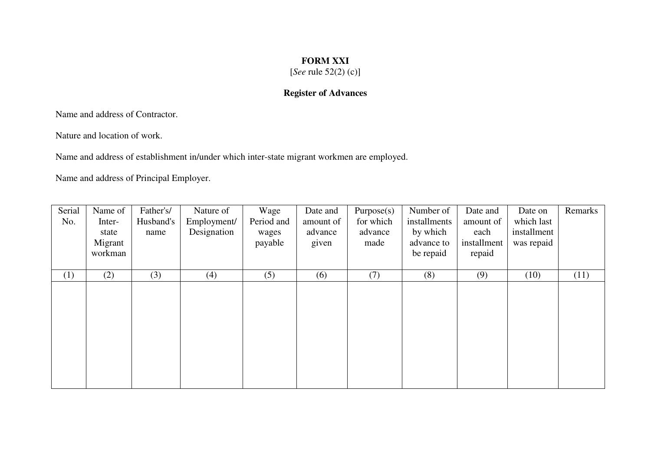## **FORM XXI**

[*See* rule 52(2) (c)]

## **Register of Advances**

Name and address of Contractor.

Nature and location of work.

Name and address of establishment in/under which inter-state migrant workmen are employed.

| Serial<br>No. | Name of<br>Inter-<br>state<br>Migrant<br>workman | Father's/<br>Husband's<br>name | Nature of<br>Employment/<br>Designation | Wage<br>Period and<br>wages<br>payable | Date and<br>amount of<br>advance<br>given | Purpose(s)<br>for which<br>advance<br>made | Number of<br>installments<br>by which<br>advance to<br>be repaid | Date and<br>amount of<br>each<br>installment<br>repaid | Date on<br>which last<br>installment<br>was repaid | Remarks |
|---------------|--------------------------------------------------|--------------------------------|-----------------------------------------|----------------------------------------|-------------------------------------------|--------------------------------------------|------------------------------------------------------------------|--------------------------------------------------------|----------------------------------------------------|---------|
| (1)           | (2)                                              | (3)                            | (4)                                     | (5)                                    | (6)                                       | (7)                                        | (8)                                                              | (9)                                                    | (10)                                               | (11)    |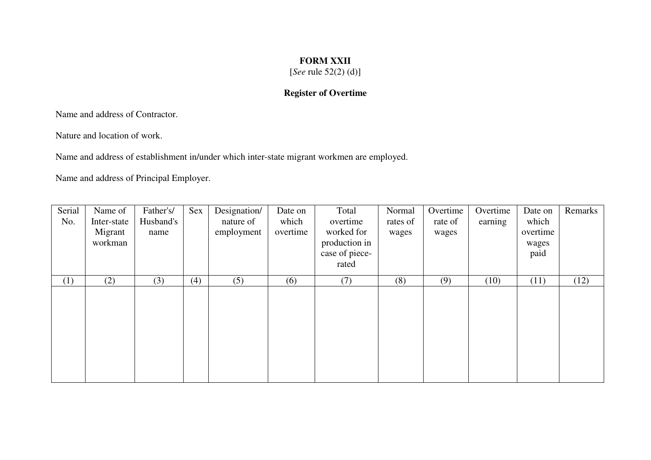## **FORM XXII**

[*See* rule 52(2) (d)]

## **Register of Overtime**

Name and address of Contractor.

Nature and location of work.

Name and address of establishment in/under which inter-state migrant workmen are employed.

| Serial | Name of     | Father's/ | Sex | Designation/ | Date on  | Total          | Normal   | Overtime | Overtime | Date on  | Remarks |
|--------|-------------|-----------|-----|--------------|----------|----------------|----------|----------|----------|----------|---------|
| No.    | Inter-state | Husband's |     | nature of    | which    | overtime       | rates of | rate of  | earning  | which    |         |
|        | Migrant     | name      |     | employment   | overtime | worked for     | wages    | wages    |          | overtime |         |
|        | workman     |           |     |              |          | production in  |          |          |          | wages    |         |
|        |             |           |     |              |          | case of piece- |          |          |          | paid     |         |
|        |             |           |     |              |          | rated          |          |          |          |          |         |
| (1)    | (2)         | (3)       | (4) | (5)          | (6)      | (7)            | (8)      | (9)      | (10)     | (11)     | (12)    |
|        |             |           |     |              |          |                |          |          |          |          |         |
|        |             |           |     |              |          |                |          |          |          |          |         |
|        |             |           |     |              |          |                |          |          |          |          |         |
|        |             |           |     |              |          |                |          |          |          |          |         |
|        |             |           |     |              |          |                |          |          |          |          |         |
|        |             |           |     |              |          |                |          |          |          |          |         |
|        |             |           |     |              |          |                |          |          |          |          |         |
|        |             |           |     |              |          |                |          |          |          |          |         |
|        |             |           |     |              |          |                |          |          |          |          |         |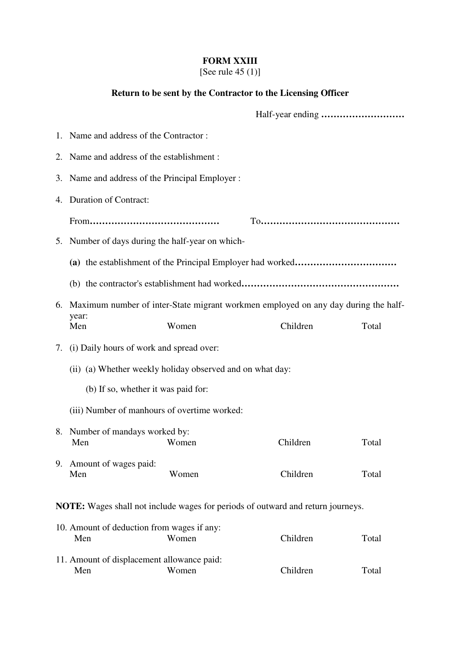## **FORM XXIII**

[See rule 45 (1)]

# **Return to be sent by the Contractor to the Licensing Officer**

|    | 1. Name and address of the Contractor:                                                |       |          |       |
|----|---------------------------------------------------------------------------------------|-------|----------|-------|
|    | 2. Name and address of the establishment:                                             |       |          |       |
| 3. | Name and address of the Principal Employer :                                          |       |          |       |
| 4. | <b>Duration of Contract:</b>                                                          |       |          |       |
|    |                                                                                       |       |          |       |
|    | 5. Number of days during the half-year on which-                                      |       |          |       |
|    |                                                                                       |       |          |       |
|    |                                                                                       |       |          |       |
|    | 6. Maximum number of inter-State migrant workmen employed on any day during the half- |       |          |       |
|    | year:<br>Men                                                                          | Women | Children | Total |
|    | 7. (i) Daily hours of work and spread over:                                           |       |          |       |
|    | (ii) (a) Whether weekly holiday observed and on what day:                             |       |          |       |
|    | (b) If so, whether it was paid for:                                                   |       |          |       |
|    | (iii) Number of manhours of overtime worked:                                          |       |          |       |
|    | 8. Number of mandays worked by:<br>Men                                                | Women | Children | Total |
|    | 9. Amount of wages paid:<br>Men                                                       | Women | Children | Total |
|    | NOTE: Wages shall not include wages for periods of outward and return journeys.       |       |          |       |
|    | 10. Amount of deduction from wages if any:<br>Men                                     | Women | Children | Total |
|    | 11. Amount of displacement allowance paid:<br>Men                                     | Women | Children | Total |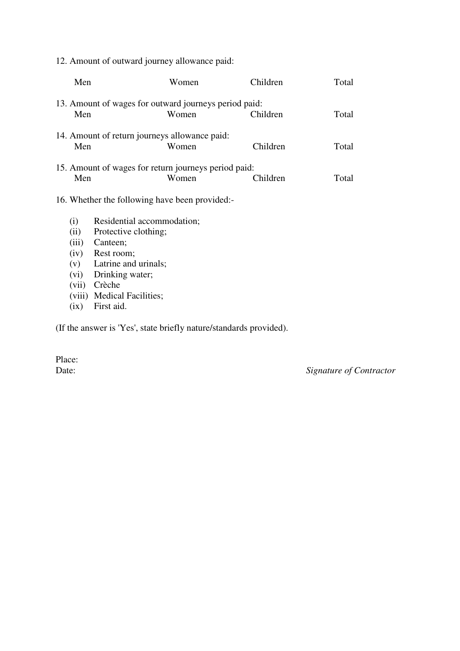12. Amount of outward journey allowance paid:

| Men                                 |                                                                                                      | Women                                                          | Children | Total |
|-------------------------------------|------------------------------------------------------------------------------------------------------|----------------------------------------------------------------|----------|-------|
| Men                                 |                                                                                                      | 13. Amount of wages for outward journeys period paid:<br>Women | Children | Total |
| Men                                 | 14. Amount of return journeys allowance paid:                                                        | Women                                                          | Children | Total |
| Men                                 |                                                                                                      | 15. Amount of wages for return journeys period paid:<br>Women  | Children | Total |
|                                     | 16. Whether the following have been provided:-                                                       |                                                                |          |       |
| (i)<br>(ii)<br>(iii)<br>(iv)<br>(v) | Residential accommodation;<br>Protective clothing;<br>Canteen;<br>Rest room;<br>Latrine and urinals; |                                                                |          |       |

- (vi) Drinking water;
- (vii) Crèche
- (viii) Medical Facilities;
- (ix) First aid.

(If the answer is 'Yes', state briefly nature/standards provided).

Place:<br>Date:

Signature of Contractor